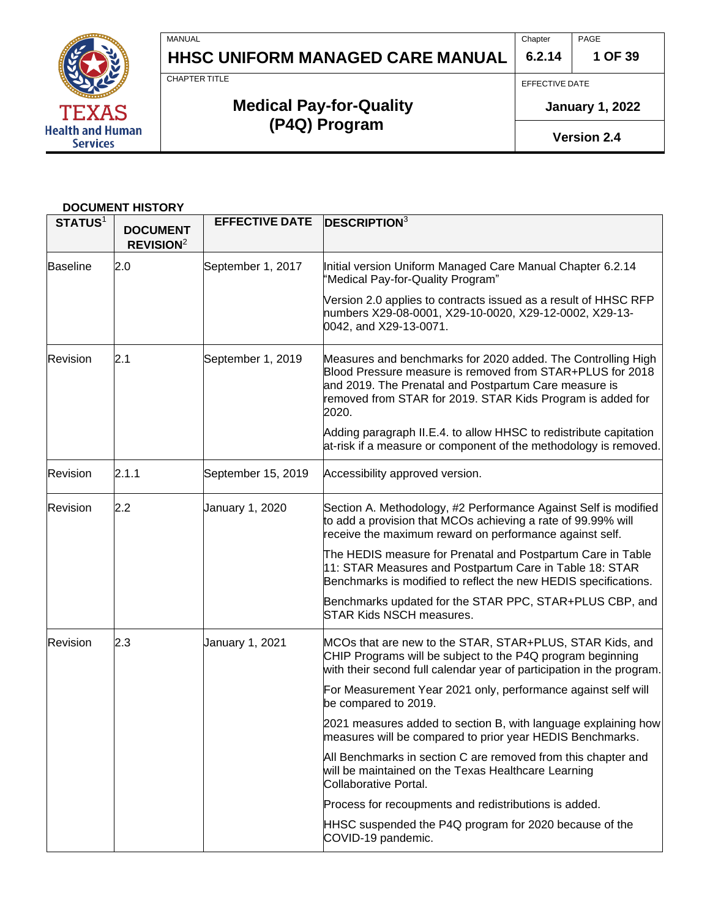

Chapter **6.2.14** PAGE

**1 OF 39**

CHAPTER TITLE

MANUAL

# **Medical Pay-for-Quality (P4Q) Program**

EFFECTIVE DATE

**January 1, 2022**

**Version 2.4**

#### **DOCUMENT HISTORY**

TEXAS **Health and Human Services** 

| <b>STATUS1</b>  | <b>DOCUMENT</b><br>REVISION <sup>2</sup> | <b>EFFECTIVE DATE</b> | DESCRIPTION <sup>3</sup>                                                                                                                                                                                                                                  |
|-----------------|------------------------------------------|-----------------------|-----------------------------------------------------------------------------------------------------------------------------------------------------------------------------------------------------------------------------------------------------------|
| <b>Baseline</b> | 2.0                                      | September 1, 2017     | Initial version Uniform Managed Care Manual Chapter 6.2.14<br>'Medical Pay-for-Quality Program"                                                                                                                                                           |
|                 |                                          |                       | Version 2.0 applies to contracts issued as a result of HHSC RFP<br>numbers X29-08-0001, X29-10-0020, X29-12-0002, X29-13-<br>0042, and X29-13-0071.                                                                                                       |
| Revision        | 2.1                                      | September 1, 2019     | Measures and benchmarks for 2020 added. The Controlling High<br>Blood Pressure measure is removed from STAR+PLUS for 2018<br>and 2019. The Prenatal and Postpartum Care measure is<br>removed from STAR for 2019. STAR Kids Program is added for<br>2020. |
|                 |                                          |                       | Adding paragraph II.E.4. to allow HHSC to redistribute capitation<br>at-risk if a measure or component of the methodology is removed.                                                                                                                     |
| Revision        | 2.1.1                                    | September 15, 2019    | Accessibility approved version.                                                                                                                                                                                                                           |
| Revision        | 2.2                                      | January 1, 2020       | Section A. Methodology, #2 Performance Against Self is modified<br>to add a provision that MCOs achieving a rate of 99.99% will<br>receive the maximum reward on performance against self.                                                                |
|                 |                                          |                       | The HEDIS measure for Prenatal and Postpartum Care in Table<br>11: STAR Measures and Postpartum Care in Table 18: STAR<br>Benchmarks is modified to reflect the new HEDIS specifications.                                                                 |
|                 |                                          |                       | Benchmarks updated for the STAR PPC, STAR+PLUS CBP, and<br><b>STAR Kids NSCH measures.</b>                                                                                                                                                                |
| Revision        | 2.3                                      | January 1, 2021       | MCOs that are new to the STAR, STAR+PLUS, STAR Kids, and<br>CHIP Programs will be subject to the P4Q program beginning<br>with their second full calendar year of participation in the program.                                                           |
|                 |                                          |                       | For Measurement Year 2021 only, performance against self will<br>be compared to 2019.                                                                                                                                                                     |
|                 |                                          |                       | 2021 measures added to section B, with language explaining how<br>measures will be compared to prior year HEDIS Benchmarks.                                                                                                                               |
|                 |                                          |                       | All Benchmarks in section C are removed from this chapter and<br>will be maintained on the Texas Healthcare Learning<br>Collaborative Portal.                                                                                                             |
|                 |                                          |                       | Process for recoupments and redistributions is added.                                                                                                                                                                                                     |
|                 |                                          |                       | HHSC suspended the P4Q program for 2020 because of the<br>COVID-19 pandemic.                                                                                                                                                                              |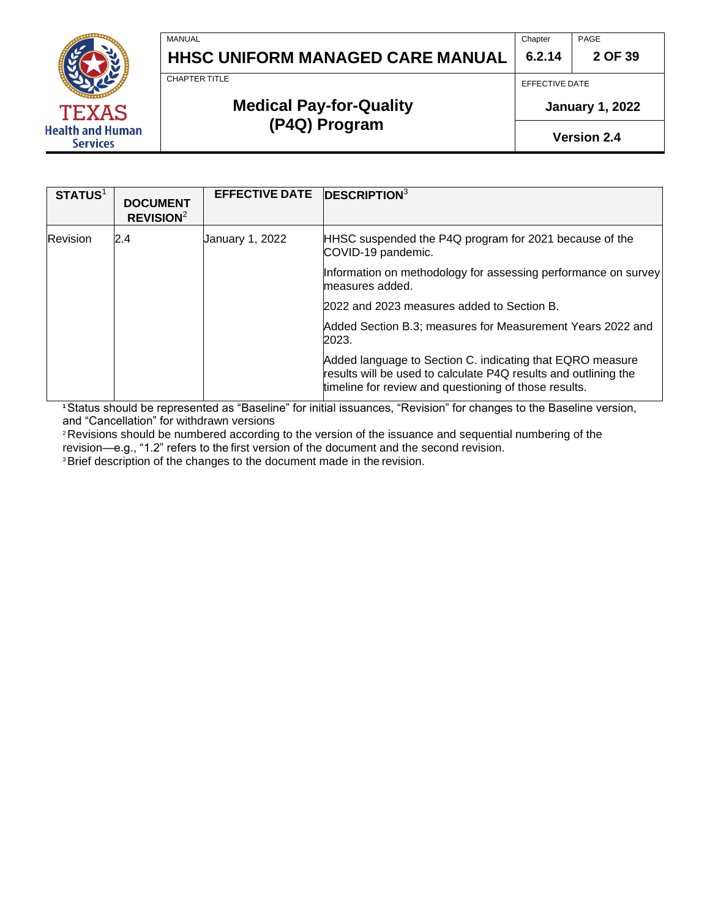

**Chapter 6.2.14** PAGE

**2 OF 39**

CHAPTER TITLE

MANUAL

# **Medical Pay-for-Quality (P4Q) Program**

EFFECTIVE DATE

**January 1, 2022**

**Version 2.4**

| <b>STATUS1</b>  | <b>DOCUMENT</b><br>REVISION <sup>2</sup> | <b>EFFECTIVE DATE</b> | $DESCRIPTION3$                                                                                                                                                                        |
|-----------------|------------------------------------------|-----------------------|---------------------------------------------------------------------------------------------------------------------------------------------------------------------------------------|
| <b>Revision</b> | 2.4                                      | January 1, 2022       | HHSC suspended the P4Q program for 2021 because of the<br>COVID-19 pandemic.                                                                                                          |
|                 |                                          |                       | Information on methodology for assessing performance on survey<br>measures added.                                                                                                     |
|                 |                                          |                       | 2022 and 2023 measures added to Section B.                                                                                                                                            |
|                 |                                          |                       | Added Section B.3; measures for Measurement Years 2022 and<br>2023.                                                                                                                   |
|                 |                                          |                       | Added language to Section C. indicating that EQRO measure<br>results will be used to calculate P4Q results and outlining the<br>timeline for review and questioning of those results. |

**<sup>1</sup>**Status should be represented as "Baseline" for initial issuances, "Revision" for changes to the Baseline version, and "Cancellation" for withdrawn versions

<sup>2</sup> Revisions should be numbered according to the version of the issuance and sequential numbering of the revision—e.g., "1.2" refers to the first version of the document and the second revision.

<sup>3</sup>Brief description of the changes to the document made in the revision.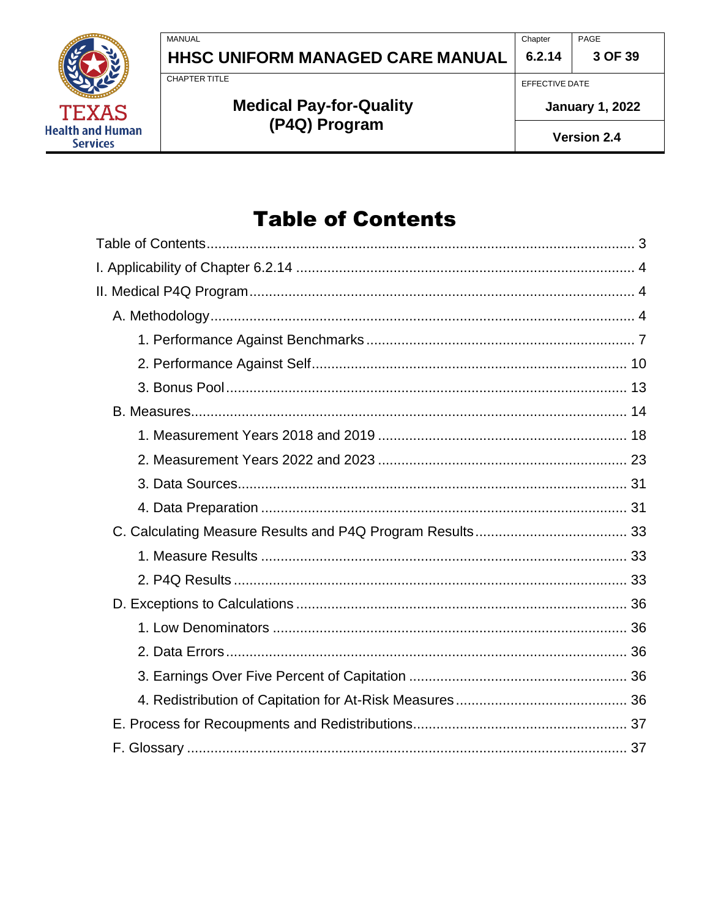PAGE Chapter  $6.2.14$ 



HHSC UNIFORM MANAGED CARE MANUAL

**CHAPTER TITLE** 

**MANUAL** 

# **Medical Pay-for-Quality** (P4Q) Program

EFFECTIVE DATE

**January 1, 2022** 

3 OF 39

Version 2.4

# **Table of Contents**

<span id="page-2-0"></span>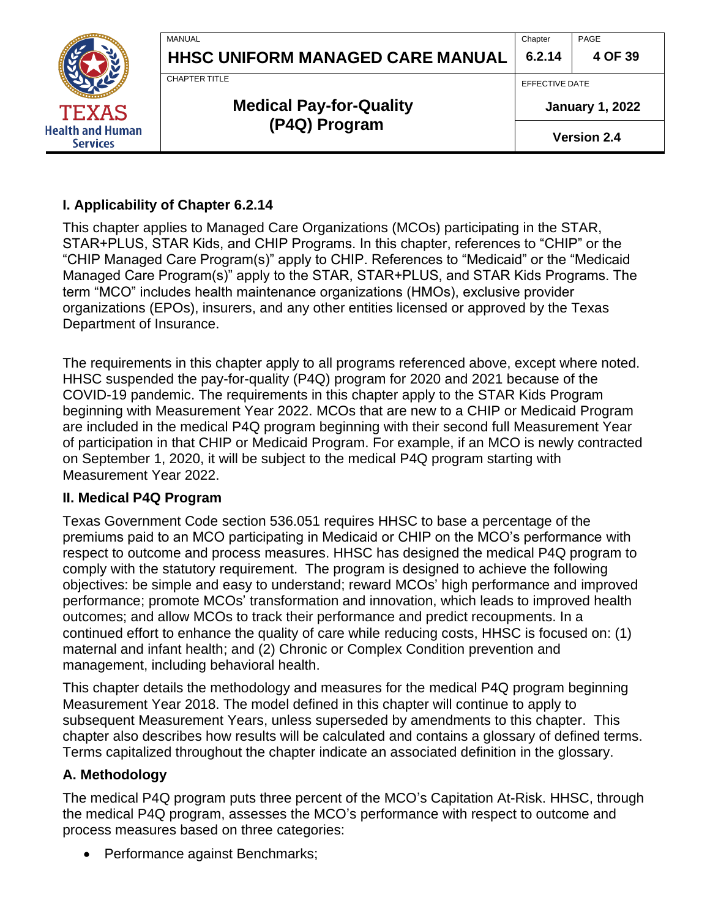|                                     | MANUAL<br><b>HHSC UNIFORM MANAGED CARE MANUAL</b> | Chapter<br>6.2.14                        | PAGE<br>4 OF 39    |
|-------------------------------------|---------------------------------------------------|------------------------------------------|--------------------|
| <b>TEXAS</b>                        | CHAPTER TITLE<br><b>Medical Pay-for-Quality</b>   | EFFECTIVE DATE<br><b>January 1, 2022</b> |                    |
| Health and Human<br><b>Services</b> | (P4Q) Program                                     |                                          | <b>Version 2.4</b> |

#### <span id="page-3-0"></span>**I. Applicability of Chapter 6.2.14**

This chapter applies to Managed Care Organizations (MCOs) participating in the STAR, STAR+PLUS, STAR Kids, and CHIP Programs. In this chapter, references to "CHIP" or the "CHIP Managed Care Program(s)" apply to CHIP. References to "Medicaid" or the "Medicaid Managed Care Program(s)" apply to the STAR, STAR+PLUS, and STAR Kids Programs. The term "MCO" includes health maintenance organizations (HMOs), exclusive provider organizations (EPOs), insurers, and any other entities licensed or approved by the Texas Department of Insurance.

The requirements in this chapter apply to all programs referenced above, except where noted. HHSC suspended the pay-for-quality (P4Q) program for 2020 and 2021 because of the COVID-19 pandemic. The requirements in this chapter apply to the STAR Kids Program beginning with Measurement Year 2022. MCOs that are new to a CHIP or Medicaid Program are included in the medical P4Q program beginning with their second full Measurement Year of participation in that CHIP or Medicaid Program. For example, if an MCO is newly contracted on September 1, 2020, it will be subject to the medical P4Q program starting with Measurement Year 2022.

#### <span id="page-3-1"></span>**II. Medical P4Q Program**

Texas Government Code section 536.051 requires HHSC to base a percentage of the premiums paid to an MCO participating in Medicaid or CHIP on the MCO's performance with respect to outcome and process measures. HHSC has designed the medical P4Q program to comply with the statutory requirement. The program is designed to achieve the following objectives: be simple and easy to understand; reward MCOs' high performance and improved performance; promote MCOs' transformation and innovation, which leads to improved health outcomes; and allow MCOs to track their performance and predict recoupments. In a continued effort to enhance the quality of care while reducing costs, HHSC is focused on: (1) maternal and infant health; and (2) Chronic or Complex Condition prevention and management, including behavioral health.

This chapter details the methodology and measures for the medical P4Q program beginning Measurement Year 2018. The model defined in this chapter will continue to apply to subsequent Measurement Years, unless superseded by amendments to this chapter. This chapter also describes how results will be calculated and contains a glossary of defined terms. Terms capitalized throughout the chapter indicate an associated definition in the glossary.

#### <span id="page-3-2"></span>**A. Methodology**

The medical P4Q program puts three percent of the MCO's Capitation At-Risk. HHSC, through the medical P4Q program, assesses the MCO's performance with respect to outcome and process measures based on three categories:

• Performance against Benchmarks;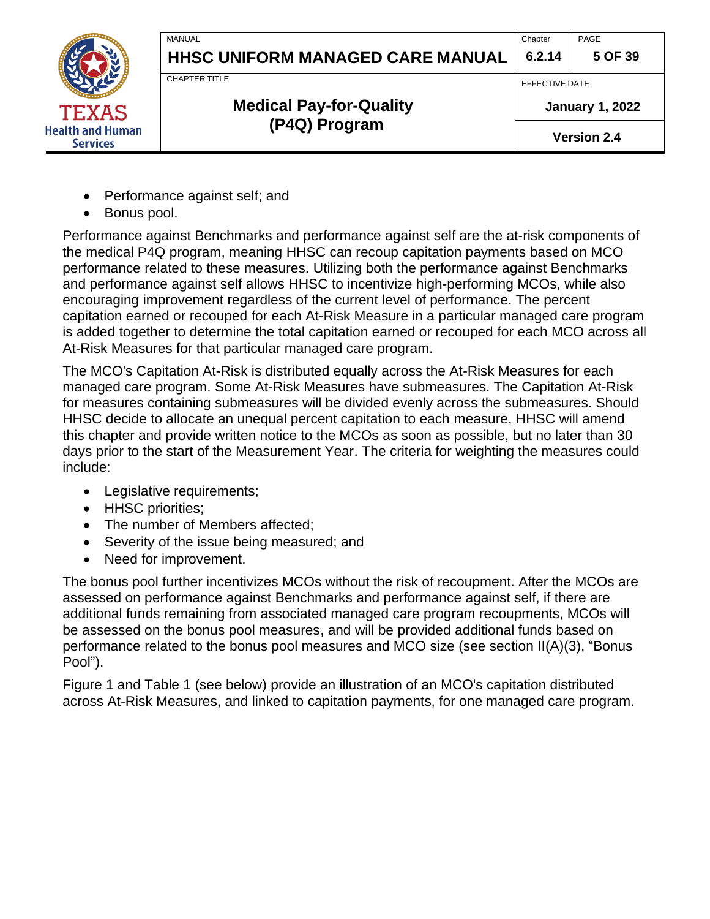

**6.2.14 5 OF 39**

PAGE

# **Medical Pay-for-Quality (P4Q) Program**

EFFECTIVE DATE

**Chapter** 

**January 1, 2022**

**Version 2.4**

- Performance against self; and
- Bonus pool.

**Health and Human Services** 

> Performance against Benchmarks and performance against self are the at-risk components of the medical P4Q program, meaning HHSC can recoup capitation payments based on MCO performance related to these measures. Utilizing both the performance against Benchmarks and performance against self allows HHSC to incentivize high-performing MCOs, while also encouraging improvement regardless of the current level of performance. The percent capitation earned or recouped for each At-Risk Measure in a particular managed care program is added together to determine the total capitation earned or recouped for each MCO across all At-Risk Measures for that particular managed care program.

The MCO's Capitation At-Risk is distributed equally across the At-Risk Measures for each managed care program. Some At-Risk Measures have submeasures. The Capitation At-Risk for measures containing submeasures will be divided evenly across the submeasures. Should HHSC decide to allocate an unequal percent capitation to each measure, HHSC will amend this chapter and provide written notice to the MCOs as soon as possible, but no later than 30 days prior to the start of the Measurement Year. The criteria for weighting the measures could include:

- Legislative requirements;
- HHSC priorities:
- The number of Members affected;
- Severity of the issue being measured; and
- Need for improvement.

The bonus pool further incentivizes MCOs without the risk of recoupment. After the MCOs are assessed on performance against Benchmarks and performance against self, if there are additional funds remaining from associated managed care program recoupments, MCOs will be assessed on the bonus pool measures, and will be provided additional funds based on performance related to the bonus pool measures and MCO size (see section II(A)(3), "Bonus Pool").

Figure 1 and Table 1 (see below) provide an illustration of an MCO's capitation distributed across At-Risk Measures, and linked to capitation payments, for one managed care program.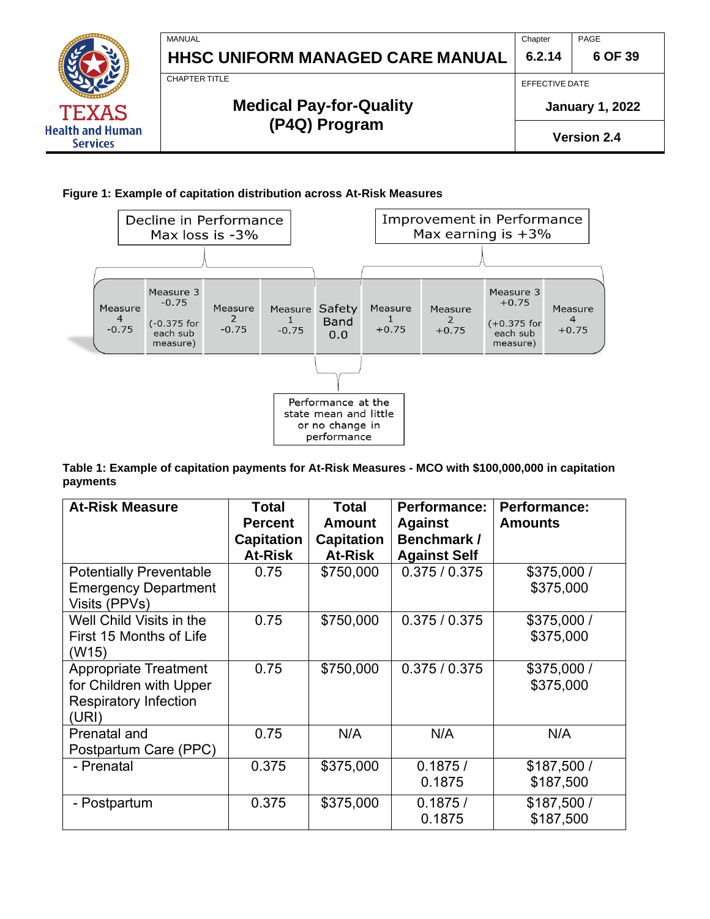

#### **Figure 1: Example of capitation distribution across At-Risk Measures**



**Table 1: Example of capitation payments for At-Risk Measures - MCO with \$100,000,000 in capitation payments**

| <b>At-Risk Measure</b>                                                                           | <b>Total</b><br><b>Percent</b><br><b>Capitation</b><br><b>At-Risk</b> | <b>Total</b><br><b>Amount</b><br><b>Capitation</b><br><b>At-Risk</b> | Performance:<br><b>Against</b><br>Benchmark /<br><b>Against Self</b> | <b>Performance:</b><br><b>Amounts</b> |
|--------------------------------------------------------------------------------------------------|-----------------------------------------------------------------------|----------------------------------------------------------------------|----------------------------------------------------------------------|---------------------------------------|
| <b>Potentially Preventable</b><br><b>Emergency Department</b><br>Visits (PPVs)                   | 0.75                                                                  | \$750,000                                                            | 0.375 / 0.375                                                        | \$375,000 /<br>\$375,000              |
| Well Child Visits in the<br>First 15 Months of Life<br>(W15)                                     | 0.75                                                                  | \$750,000                                                            | 0.375/0.375                                                          | \$375,000 /<br>\$375,000              |
| <b>Appropriate Treatment</b><br>for Children with Upper<br><b>Respiratory Infection</b><br>(URI) | 0.75                                                                  | \$750,000                                                            | 0.375/0.375                                                          | \$375,000/<br>\$375,000               |
| Prenatal and<br>Postpartum Care (PPC)                                                            | 0.75                                                                  | N/A                                                                  | N/A                                                                  | N/A                                   |
| - Prenatal                                                                                       | 0.375                                                                 | \$375,000                                                            | 0.1875/<br>0.1875                                                    | \$187,500/<br>\$187,500               |
| - Postpartum                                                                                     | 0.375                                                                 | \$375,000                                                            | 0.1875/<br>0.1875                                                    | \$187,500/<br>\$187,500               |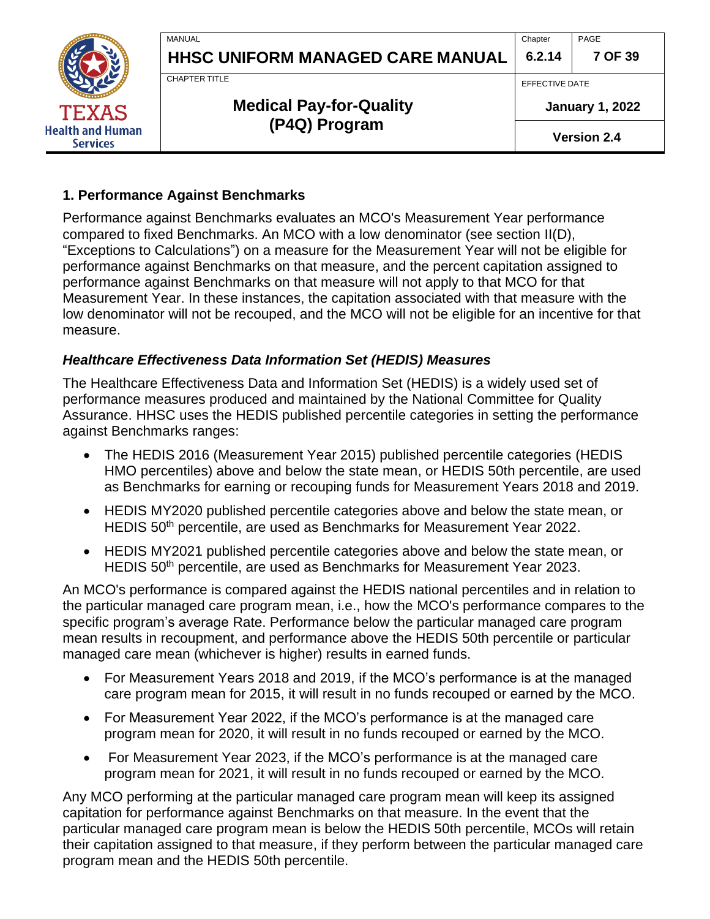

**6.2.14** PAGE

**7 OF 39**

CHAPTER TITLE

MANUAL

# **Medical Pay-for-Quality (P4Q) Program**

EFFECTIVE DATE

**Chapter** 

**January 1, 2022**

**Version 2.4**

### <span id="page-6-0"></span>**1. Performance Against Benchmarks**

Performance against Benchmarks evaluates an MCO's Measurement Year performance compared to fixed Benchmarks. An MCO with a low denominator (see section II(D), "Exceptions to Calculations") on a measure for the Measurement Year will not be eligible for performance against Benchmarks on that measure, and the percent capitation assigned to performance against Benchmarks on that measure will not apply to that MCO for that Measurement Year. In these instances, the capitation associated with that measure with the low denominator will not be recouped, and the MCO will not be eligible for an incentive for that measure.

### *Healthcare Effectiveness Data Information Set (HEDIS) Measures*

The Healthcare Effectiveness Data and Information Set (HEDIS) is a widely used set of performance measures produced and maintained by the National Committee for Quality Assurance. HHSC uses the HEDIS published percentile categories in setting the performance against Benchmarks ranges:

- The HEDIS 2016 (Measurement Year 2015) published percentile categories (HEDIS HMO percentiles) above and below the state mean, or HEDIS 50th percentile, are used as Benchmarks for earning or recouping funds for Measurement Years 2018 and 2019.
- HEDIS MY2020 published percentile categories above and below the state mean, or HEDIS 50<sup>th</sup> percentile, are used as Benchmarks for Measurement Year 2022.
- HEDIS MY2021 published percentile categories above and below the state mean, or HEDIS 50<sup>th</sup> percentile, are used as Benchmarks for Measurement Year 2023.

An MCO's performance is compared against the HEDIS national percentiles and in relation to the particular managed care program mean, i.e., how the MCO's performance compares to the specific program's average Rate. Performance below the particular managed care program mean results in recoupment, and performance above the HEDIS 50th percentile or particular managed care mean (whichever is higher) results in earned funds.

- For Measurement Years 2018 and 2019, if the MCO's performance is at the managed care program mean for 2015, it will result in no funds recouped or earned by the MCO.
- For Measurement Year 2022, if the MCO's performance is at the managed care program mean for 2020, it will result in no funds recouped or earned by the MCO.
- For Measurement Year 2023, if the MCO's performance is at the managed care program mean for 2021, it will result in no funds recouped or earned by the MCO.

Any MCO performing at the particular managed care program mean will keep its assigned capitation for performance against Benchmarks on that measure. In the event that the particular managed care program mean is below the HEDIS 50th percentile, MCOs will retain their capitation assigned to that measure, if they perform between the particular managed care program mean and the HEDIS 50th percentile.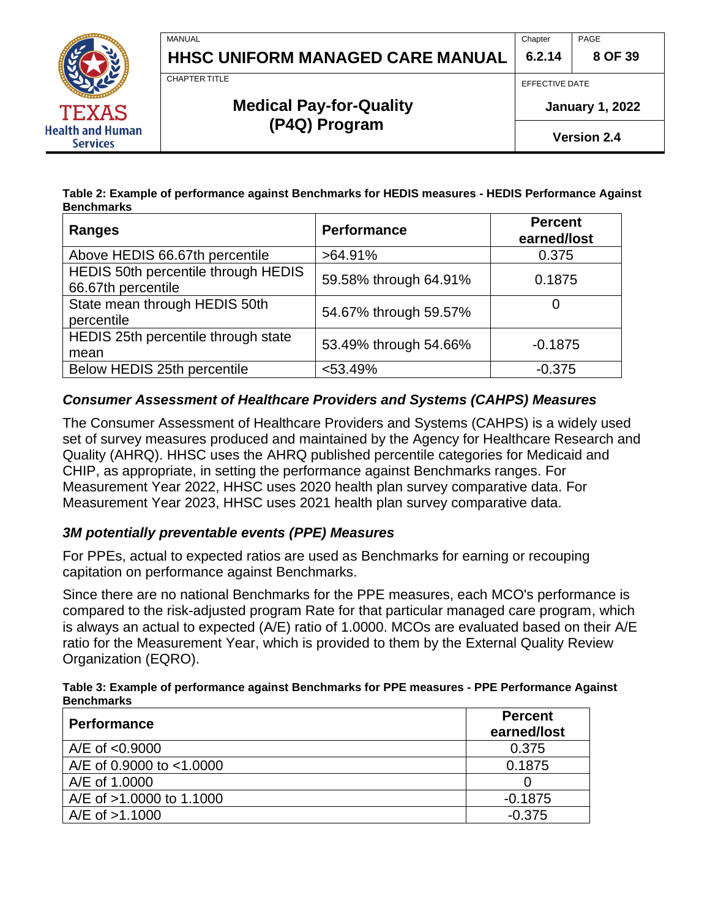

PAGE **8 OF 39**

CHAPTER TITLE

MANUAL

# **Medical Pay-for-Quality (P4Q) Program**

EFFECTIVE DATE

**January 1, 2022**

**Version 2.4**

#### **Table 2: Example of performance against Benchmarks for HEDIS measures - HEDIS Performance Against Benchmarks**

| <b>Ranges</b>                                             | <b>Performance</b>    | <b>Percent</b><br>earned/lost |
|-----------------------------------------------------------|-----------------------|-------------------------------|
| Above HEDIS 66.67th percentile                            | $>64.91\%$            | 0.375                         |
| HEDIS 50th percentile through HEDIS<br>66.67th percentile | 59.58% through 64.91% | 0.1875                        |
| State mean through HEDIS 50th<br>percentile               | 54.67% through 59.57% |                               |
| HEDIS 25th percentile through state<br>mean               | 53.49% through 54.66% | $-0.1875$                     |
| Below HEDIS 25th percentile                               | $< 53.49\%$           | $-0.375$                      |

### *Consumer Assessment of Healthcare Providers and Systems (CAHPS) Measures*

The Consumer Assessment of Healthcare Providers and Systems (CAHPS) is a widely used set of survey measures produced and maintained by the Agency for Healthcare Research and Quality (AHRQ). HHSC uses the AHRQ published percentile categories for Medicaid and CHIP, as appropriate, in setting the performance against Benchmarks ranges. For Measurement Year 2022, HHSC uses 2020 health plan survey comparative data. For Measurement Year 2023, HHSC uses 2021 health plan survey comparative data.

### *3M potentially preventable events (PPE) Measures*

For PPEs, actual to expected ratios are used as Benchmarks for earning or recouping capitation on performance against Benchmarks.

Since there are no national Benchmarks for the PPE measures, each MCO's performance is compared to the risk-adjusted program Rate for that particular managed care program, which is always an actual to expected (A/E) ratio of 1.0000. MCOs are evaluated based on their A/E ratio for the Measurement Year, which is provided to them by the External Quality Review Organization (EQRO).

#### **Table 3: Example of performance against Benchmarks for PPE measures - PPE Performance Against Benchmarks**

| <b>Performance</b>       | <b>Percent</b><br>earned/lost |
|--------------------------|-------------------------------|
| $A/E$ of $< 0.9000$      | 0.375                         |
| A/E of 0.9000 to <1.0000 | 0.1875                        |
| A/E of 1,0000            |                               |
| A/E of >1.0000 to 1.1000 | $-0.1875$                     |
| A/E of >1.1000           | $-0.375$                      |



**Health and Human Services**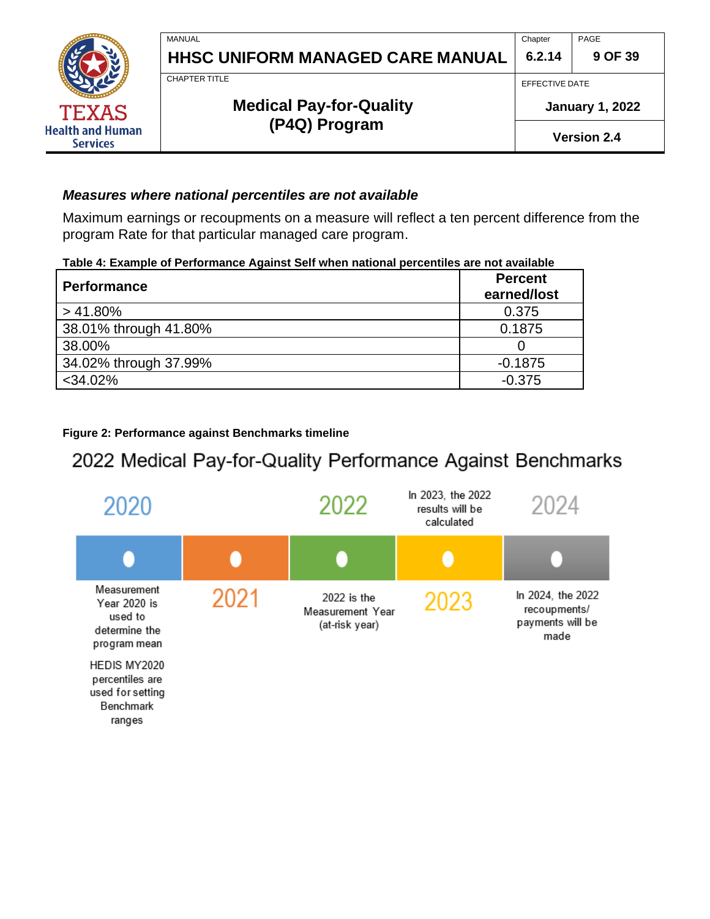**Chapter 6.2.14** PAGE

**9 OF 39**

CHAPTER TITLE

MANUAL

**Health and Human Services** 

# **Medical Pay-for-Quality (P4Q) Program**

EFFECTIVE DATE

**January 1, 2022**

**Version 2.4**

#### *Measures where national percentiles are not available*

Maximum earnings or recoupments on a measure will reflect a ten percent difference from the program Rate for that particular managed care program.

| Table 4: Example of Performance Against Self when national percentiles are not available |  |
|------------------------------------------------------------------------------------------|--|
|                                                                                          |  |

| <b>Performance</b>    | <b>Percent</b><br>earned/lost |
|-----------------------|-------------------------------|
| $>41.80\%$            | 0.375                         |
| 38.01% through 41.80% | 0.1875                        |
| 38.00%                |                               |
| 34.02% through 37.99% | $-0.1875$                     |
| $<$ 34.02%            | $-0.375$                      |

#### **Figure 2: Performance against Benchmarks timeline**

# 2022 Medical Pay-for-Quality Performance Against Benchmarks

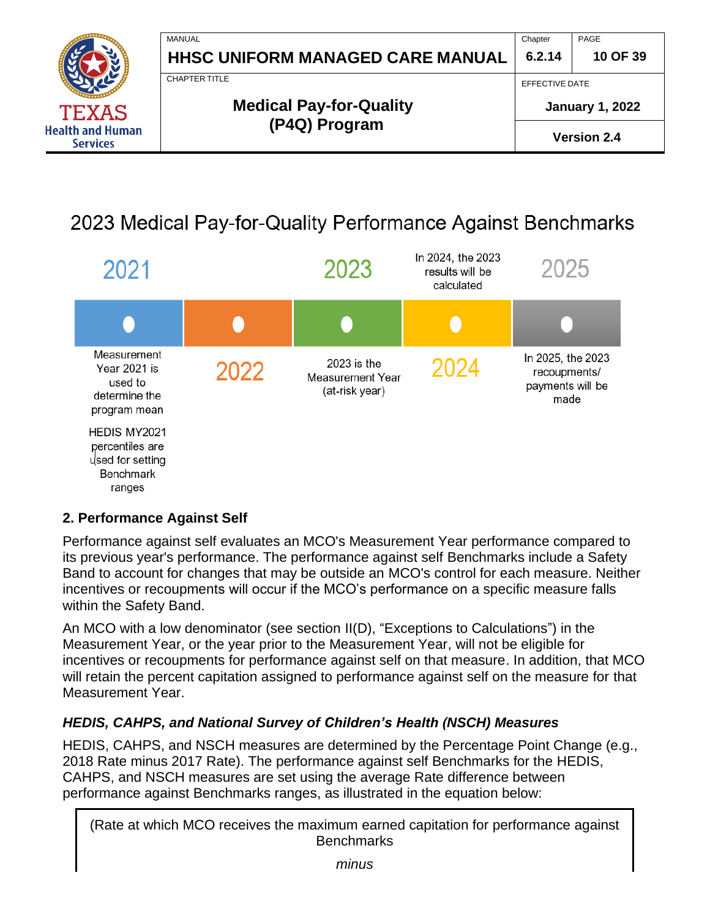

# 2023 Medical Pay-for-Quality Performance Against Benchmarks



#### <span id="page-9-0"></span>**2. Performance Against Self**

Performance against self evaluates an MCO's Measurement Year performance compared to its previous year's performance. The performance against self Benchmarks include a Safety Band to account for changes that may be outside an MCO's control for each measure. Neither incentives or recoupments will occur if the MCO's performance on a specific measure falls within the Safety Band.

An MCO with a low denominator (see section II(D), "Exceptions to Calculations") in the Measurement Year, or the year prior to the Measurement Year, will not be eligible for incentives or recoupments for performance against self on that measure. In addition, that MCO will retain the percent capitation assigned to performance against self on the measure for that Measurement Year.

### *HEDIS, CAHPS, and National Survey of Children's Health (NSCH) Measures*

HEDIS, CAHPS, and NSCH measures are determined by the Percentage Point Change (e.g., 2018 Rate minus 2017 Rate). The performance against self Benchmarks for the HEDIS, CAHPS, and NSCH measures are set using the average Rate difference between performance against Benchmarks ranges, as illustrated in the equation below:

(Rate at which MCO receives the maximum earned capitation for performance against **Benchmarks**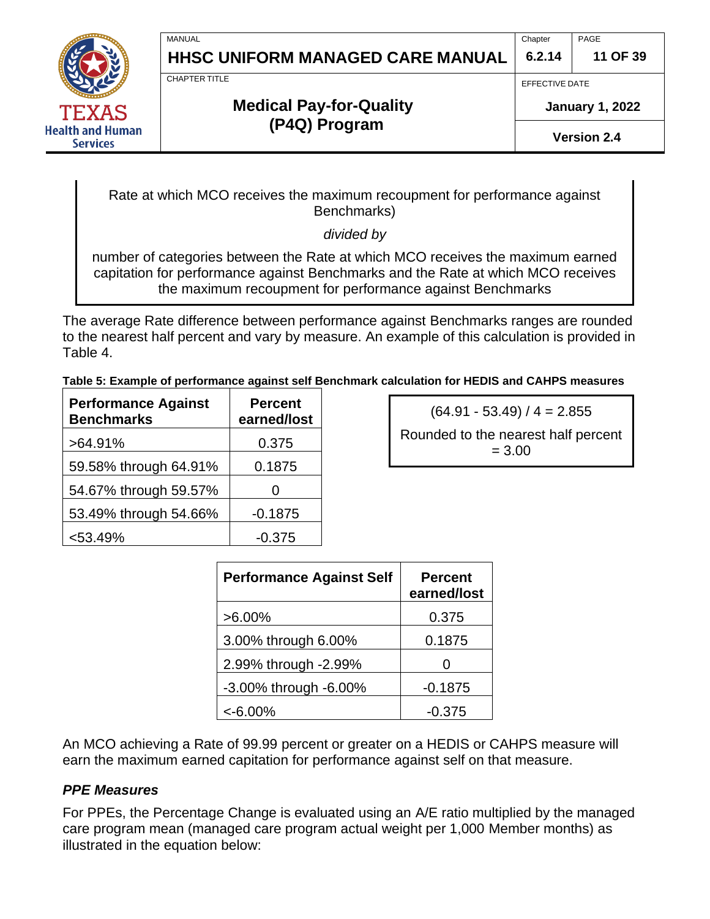MANUAL

**Health and Human Services** 

# **HHSC UNIFORM MANAGED CARE MANUAL**

**Chapter 6.2.14** PAGE

**11 OF 39**

CHAPTER TITLE

# **Medical Pay-for-Quality (P4Q) Program**

EFFECTIVE DATE

**January 1, 2022**

**Version 2.4**

Rate at which MCO receives the maximum recoupment for performance against Benchmarks)

*divided by*

number of categories between the Rate at which MCO receives the maximum earned capitation for performance against Benchmarks and the Rate at which MCO receives the maximum recoupment for performance against Benchmarks

The average Rate difference between performance against Benchmarks ranges are rounded to the nearest half percent and vary by measure. An example of this calculation is provided in Table 4.

**Table 5: Example of performance against self Benchmark calculation for HEDIS and CAHPS measures**

| <b>Performance Against</b><br><b>Benchmarks</b> | <b>Percent</b><br>earned/lost |
|-------------------------------------------------|-------------------------------|
| $>64.91\%$                                      | 0.375                         |
| 59.58% through 64.91%                           | 0.1875                        |
| 54.67% through 59.57%                           | 0                             |
| 53.49% through 54.66%                           | $-0.1875$                     |
| $< 53.49\%$                                     | $-0.375$                      |

 $(64.91 - 53.49) / 4 = 2.855$ 

Rounded to the nearest half percent = 3.00

| <b>Performance Against Self</b> | <b>Percent</b><br>earned/lost |
|---------------------------------|-------------------------------|
| $>6.00\%$                       | 0.375                         |
| 3.00% through 6.00%             | 0.1875                        |
| 2.99% through -2.99%            |                               |
| -3.00% through -6.00%           | $-0.1875$                     |
| $<$ -6.00%                      | $-0.375$                      |

An MCO achieving a Rate of 99.99 percent or greater on a HEDIS or CAHPS measure will earn the maximum earned capitation for performance against self on that measure.

### *PPE Measures*

For PPEs, the Percentage Change is evaluated using an A/E ratio multiplied by the managed care program mean (managed care program actual weight per 1,000 Member months) as illustrated in the equation below: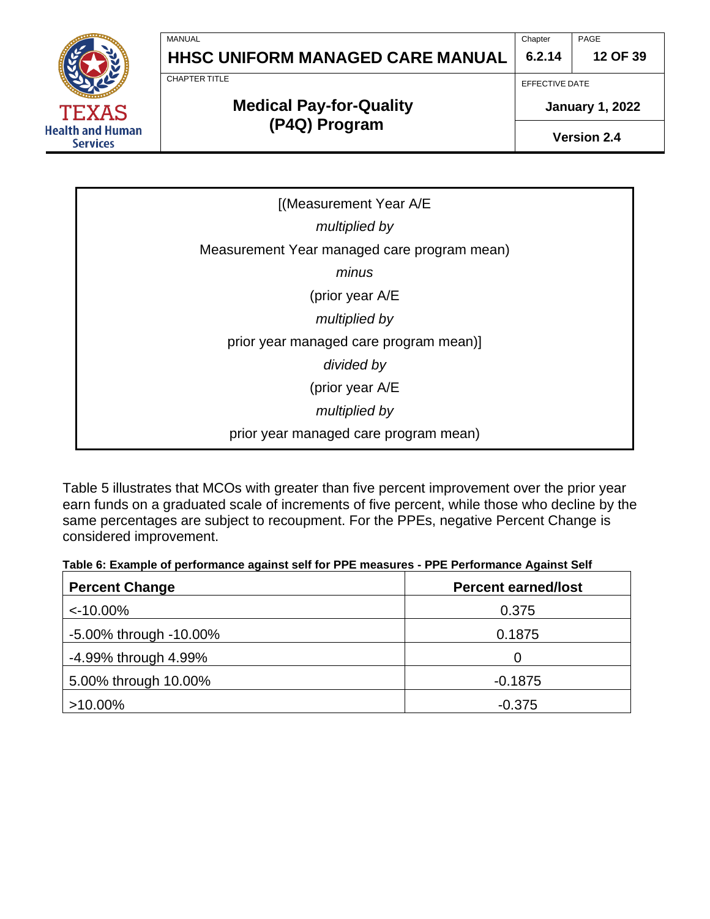**Chapter 6.2.14** PAGE

**12 OF 39**

CHAPTER TITLE

MANUAL

**Health and Human Services** 

# **Medical Pay-for-Quality (P4Q) Program**

EFFECTIVE DATE

**January 1, 2022**

**Version 2.4**

[(Measurement Year A/E *multiplied by* Measurement Year managed care program mean) *minus* (prior year A/E *multiplied by*  prior year managed care program mean)] *divided by* (prior year A/E *multiplied by* prior year managed care program mean)

Table 5 illustrates that MCOs with greater than five percent improvement over the prior year earn funds on a graduated scale of increments of five percent, while those who decline by the same percentages are subject to recoupment. For the PPEs, negative Percent Change is considered improvement.

**Table 6: Example of performance against self for PPE measures - PPE Performance Against Self**

| <b>Percent Change</b>        | <b>Percent earned/lost</b> |  |
|------------------------------|----------------------------|--|
| $< -10.00\%$                 | 0.375                      |  |
| $-5.00\%$ through $-10.00\%$ | 0.1875                     |  |
| -4.99% through 4.99%         | 0                          |  |
| 5.00% through 10.00%         | $-0.1875$                  |  |
| $>10.00\%$                   | $-0.375$                   |  |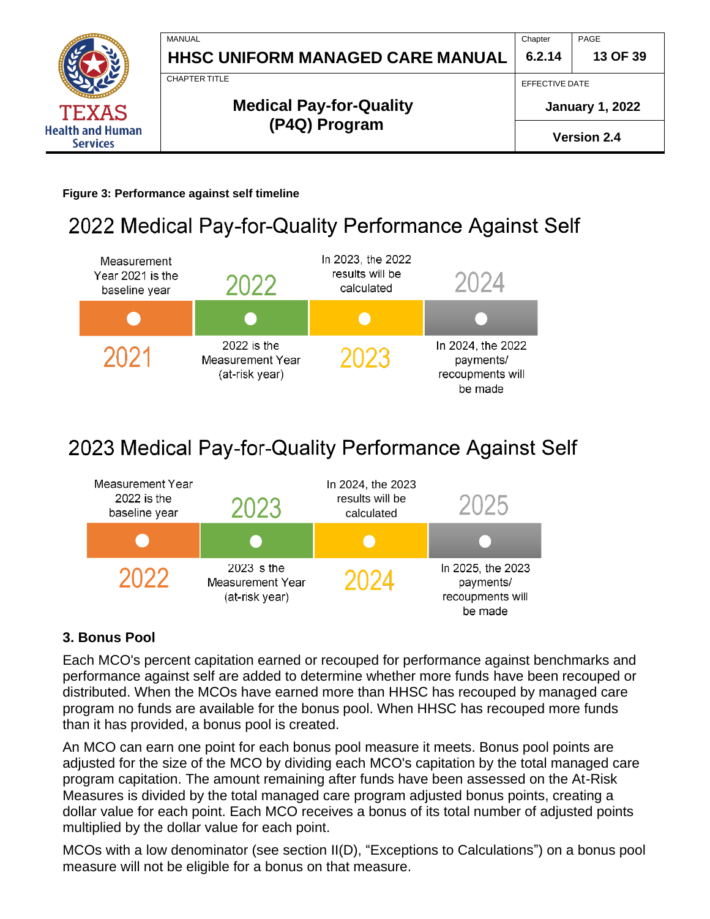

**Figure 3: Performance against self timeline**

# 2022 Medical Pay-for-Quality Performance Against Self



# 2023 Medical Pay-for-Quality Performance Against Self



### <span id="page-12-0"></span>**3. Bonus Pool**

Each MCO's percent capitation earned or recouped for performance against benchmarks and performance against self are added to determine whether more funds have been recouped or distributed. When the MCOs have earned more than HHSC has recouped by managed care program no funds are available for the bonus pool. When HHSC has recouped more funds than it has provided, a bonus pool is created.

An MCO can earn one point for each bonus pool measure it meets. Bonus pool points are adjusted for the size of the MCO by dividing each MCO's capitation by the total managed care program capitation. The amount remaining after funds have been assessed on the At-Risk Measures is divided by the total managed care program adjusted bonus points, creating a dollar value for each point. Each MCO receives a bonus of its total number of adjusted points multiplied by the dollar value for each point.

MCOs with a low denominator (see section II(D), "Exceptions to Calculations") on a bonus pool measure will not be eligible for a bonus on that measure.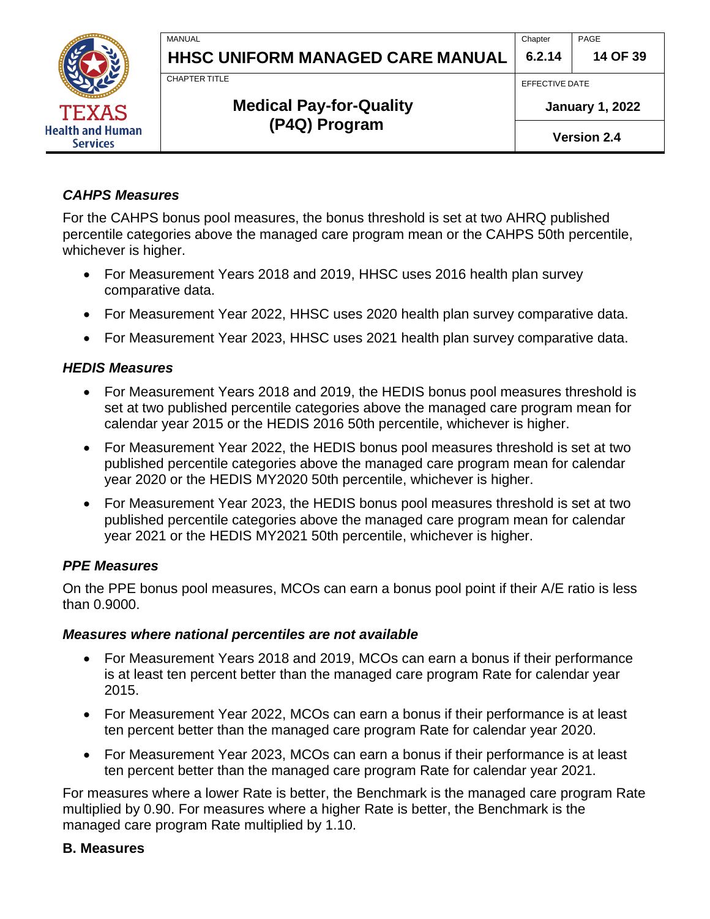

**Chapter 6.2.14** PAGE

**14 OF 39**

CHAPTER TITLE

MANUAL

# **Medical Pay-for-Quality (P4Q) Program**

EFFECTIVE DATE

**January 1, 2022**

**Version 2.4**

#### *CAHPS Measures*

For the CAHPS bonus pool measures, the bonus threshold is set at two AHRQ published percentile categories above the managed care program mean or the CAHPS 50th percentile, whichever is higher.

- For Measurement Years 2018 and 2019, HHSC uses 2016 health plan survey comparative data.
- For Measurement Year 2022, HHSC uses 2020 health plan survey comparative data.
- For Measurement Year 2023, HHSC uses 2021 health plan survey comparative data.

#### *HEDIS Measures*

- For Measurement Years 2018 and 2019, the HEDIS bonus pool measures threshold is set at two published percentile categories above the managed care program mean for calendar year 2015 or the HEDIS 2016 50th percentile, whichever is higher.
- For Measurement Year 2022, the HEDIS bonus pool measures threshold is set at two published percentile categories above the managed care program mean for calendar year 2020 or the HEDIS MY2020 50th percentile, whichever is higher.
- For Measurement Year 2023, the HEDIS bonus pool measures threshold is set at two published percentile categories above the managed care program mean for calendar year 2021 or the HEDIS MY2021 50th percentile, whichever is higher.

### *PPE Measures*

On the PPE bonus pool measures, MCOs can earn a bonus pool point if their A/E ratio is less than 0.9000.

#### *Measures where national percentiles are not available*

- For Measurement Years 2018 and 2019, MCOs can earn a bonus if their performance is at least ten percent better than the managed care program Rate for calendar year 2015.
- For Measurement Year 2022, MCOs can earn a bonus if their performance is at least ten percent better than the managed care program Rate for calendar year 2020.
- For Measurement Year 2023, MCOs can earn a bonus if their performance is at least ten percent better than the managed care program Rate for calendar year 2021.

For measures where a lower Rate is better, the Benchmark is the managed care program Rate multiplied by 0.90. For measures where a higher Rate is better, the Benchmark is the managed care program Rate multiplied by 1.10.

#### <span id="page-13-0"></span>**B. Measures**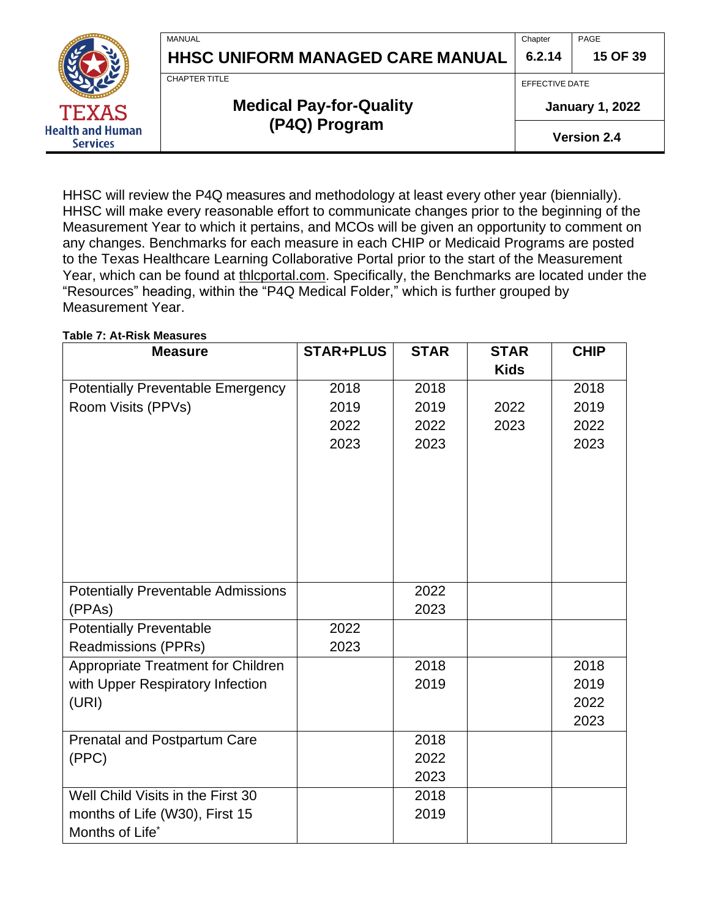

# **(P4Q) Program**

**January 1, 2022**

**Version 2.4**

HHSC will review the P4Q measures and methodology at least every other year (biennially). HHSC will make every reasonable effort to communicate changes prior to the beginning of the Measurement Year to which it pertains, and MCOs will be given an opportunity to comment on any changes. Benchmarks for each measure in each CHIP or Medicaid Programs are posted to the Texas Healthcare Learning Collaborative Portal prior to the start of the Measurement Year, which can be found at thlcportal.com. Specifically, the Benchmarks are located under the "Resources" heading, within the "P4Q Medical Folder," which is further grouped by Measurement Year.

#### **Table 7: At-Risk Measures**

**Health and Human Services** 

| <b>Measure</b>                            | <b>STAR+PLUS</b> | <b>STAR</b> | <b>STAR</b> | <b>CHIP</b> |
|-------------------------------------------|------------------|-------------|-------------|-------------|
|                                           |                  |             | <b>Kids</b> |             |
| <b>Potentially Preventable Emergency</b>  | 2018             | 2018        |             | 2018        |
| Room Visits (PPVs)                        | 2019             | 2019        | 2022        | 2019        |
|                                           | 2022             | 2022        | 2023        | 2022        |
|                                           | 2023             | 2023        |             | 2023        |
|                                           |                  |             |             |             |
|                                           |                  |             |             |             |
|                                           |                  |             |             |             |
|                                           |                  |             |             |             |
|                                           |                  |             |             |             |
|                                           |                  |             |             |             |
|                                           |                  |             |             |             |
| <b>Potentially Preventable Admissions</b> |                  | 2022        |             |             |
| (PPAs)                                    |                  | 2023        |             |             |
| <b>Potentially Preventable</b>            | 2022             |             |             |             |
| <b>Readmissions (PPRs)</b>                | 2023             |             |             |             |
| Appropriate Treatment for Children        |                  | 2018        |             | 2018        |
| with Upper Respiratory Infection          |                  | 2019        |             | 2019        |
| (URI)                                     |                  |             |             | 2022        |
|                                           |                  |             |             | 2023        |
| Prenatal and Postpartum Care              |                  | 2018        |             |             |
| (PPC)                                     |                  | 2022        |             |             |
|                                           |                  | 2023        |             |             |
| Well Child Visits in the First 30         |                  | 2018        |             |             |
| months of Life (W30), First 15            |                  | 2019        |             |             |
| Months of Life*                           |                  |             |             |             |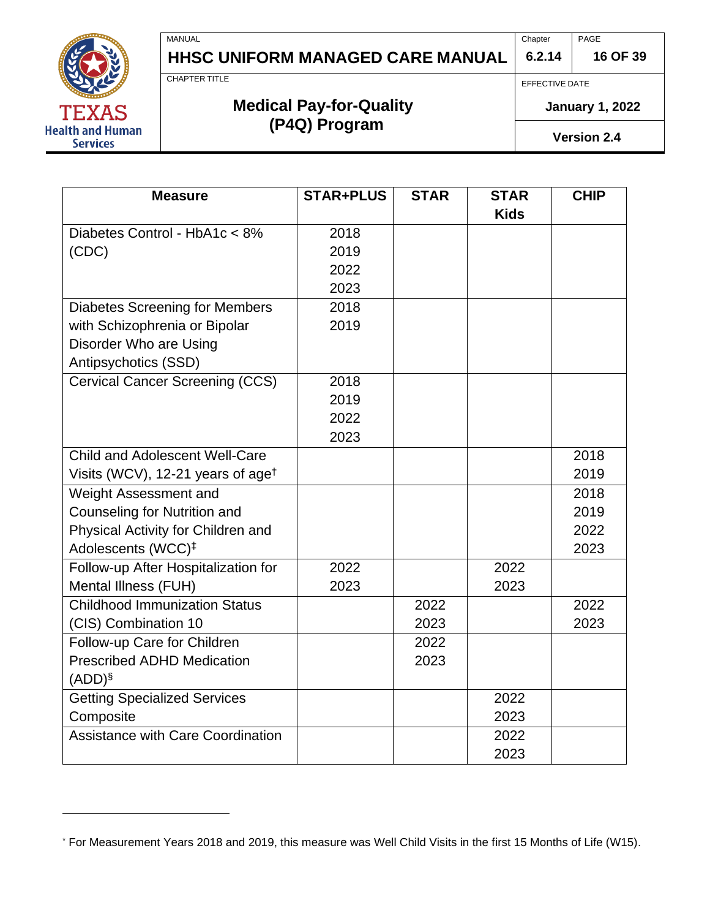**6.2.14** PAGE

## **16 OF 39**

CHAPTER TITLE

MANUAL

# **Medical Pay-for-Quality (P4Q) Program**

**HHSC UNIFORM MANAGED CARE MANUAL**

EFFECTIVE DATE

**Chapter** 

**January 1, 2022**

**Version 2.4**

| <b>Measure</b>                                | <b>STAR+PLUS</b> | <b>STAR</b> | <b>STAR</b><br><b>Kids</b> | <b>CHIP</b> |
|-----------------------------------------------|------------------|-------------|----------------------------|-------------|
| Diabetes Control - HbA1c < 8%                 | 2018             |             |                            |             |
| (CDC)                                         | 2019             |             |                            |             |
|                                               | 2022             |             |                            |             |
|                                               | 2023             |             |                            |             |
| <b>Diabetes Screening for Members</b>         | 2018             |             |                            |             |
| with Schizophrenia or Bipolar                 | 2019             |             |                            |             |
| Disorder Who are Using                        |                  |             |                            |             |
| Antipsychotics (SSD)                          |                  |             |                            |             |
| <b>Cervical Cancer Screening (CCS)</b>        | 2018             |             |                            |             |
|                                               | 2019             |             |                            |             |
|                                               | 2022             |             |                            |             |
|                                               | 2023             |             |                            |             |
| <b>Child and Adolescent Well-Care</b>         |                  |             |                            | 2018        |
| Visits (WCV), 12-21 years of age <sup>†</sup> |                  |             |                            | 2019        |
| Weight Assessment and                         |                  |             |                            | 2018        |
| Counseling for Nutrition and                  |                  |             |                            | 2019        |
| Physical Activity for Children and            |                  |             |                            | 2022        |
| Adolescents (WCC) <sup>‡</sup>                |                  |             |                            | 2023        |
| Follow-up After Hospitalization for           | 2022             |             | 2022                       |             |
| Mental Illness (FUH)                          | 2023             |             | 2023                       |             |
| <b>Childhood Immunization Status</b>          |                  | 2022        |                            | 2022        |
| (CIS) Combination 10                          |                  | 2023        |                            | 2023        |
| Follow-up Care for Children                   |                  | 2022        |                            |             |
| <b>Prescribed ADHD Medication</b>             |                  | 2023        |                            |             |
| $(ADD)^{\S}$                                  |                  |             |                            |             |
| <b>Getting Specialized Services</b>           |                  |             | 2022                       |             |
| Composite                                     |                  |             | 2023                       |             |
| <b>Assistance with Care Coordination</b>      |                  |             | 2022                       |             |
|                                               |                  |             | 2023                       |             |



<sup>\*</sup> For Measurement Years 2018 and 2019, this measure was Well Child Visits in the first 15 Months of Life (W15).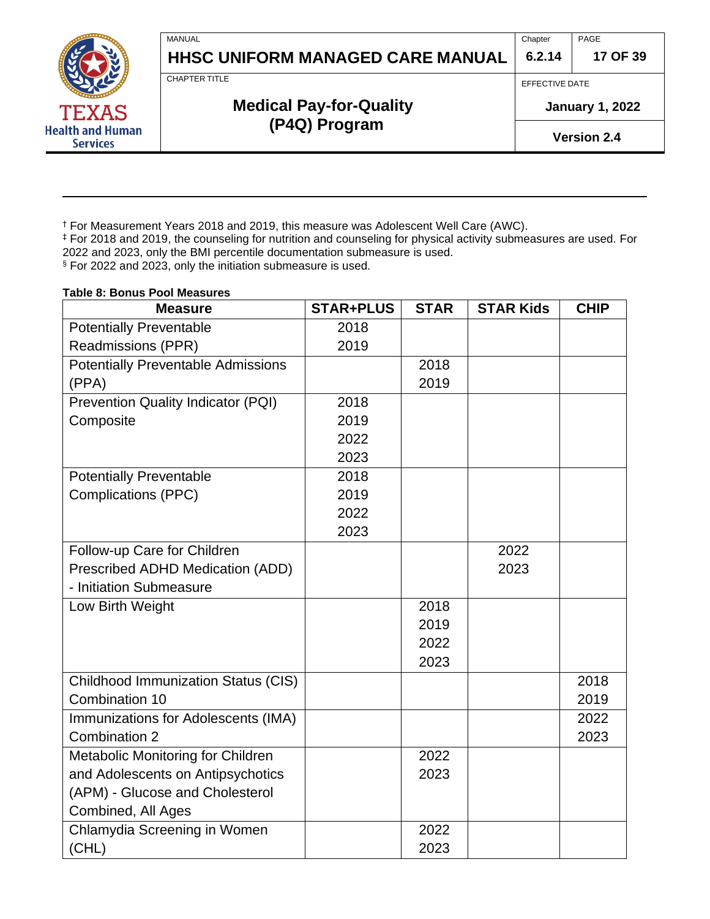**Chapter 6.2.14** PAGE

**17 OF 39**

CHAPTER TITLE

MANUAL

# **Medical Pay-for-Quality (P4Q) Program**

**HHSC UNIFORM MANAGED CARE MANUAL**

EFFECTIVE DATE

**January 1, 2022**

**Version 2.4**

† For Measurement Years 2018 and 2019, this measure was Adolescent Well Care (AWC).

‡ For 2018 and 2019, the counseling for nutrition and counseling for physical activity submeasures are used. For 2022 and 2023, only the BMI percentile documentation submeasure is used.

§ For 2022 and 2023, only the initiation submeasure is used.

#### **Measure STAR+PLUS STAR STAR Kids CHIP** Potentially Preventable Readmissions (PPR) 2018 2019 Potentially Preventable Admissions (PPA) 2018 2019 Prevention Quality Indicator (PQI) **Composite** 2018 2019 2022 2023 Potentially Preventable Complications (PPC) 2018 2019 2022 2023 Follow-up Care for Children Prescribed ADHD Medication (ADD) - Initiation Submeasure 2022 2023 Low Birth Weight **2018** 2019 2022 2023 Childhood Immunization Status (CIS) Combination 10 2018 2019 Immunizations for Adolescents (IMA) Combination 2 2022 2023 Metabolic Monitoring for Children and Adolescents on Antipsychotics (APM) - Glucose and Cholesterol Combined, All Ages 2022 2023 Chlamydia Screening in Women (CHL) 2022 2023

#### **Table 8: Bonus Pool Measures**

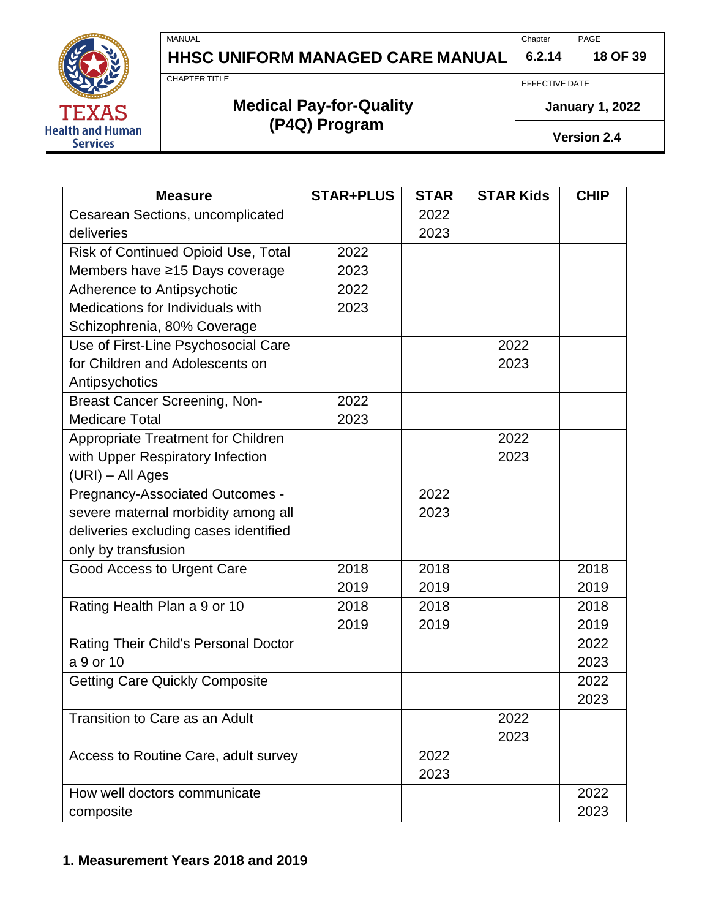**6.2.14** PAGE **18 OF 39**



CHAPTER TITLE

MANUAL

# **Medical Pay-for-Quality (P4Q) Program**

EFFECTIVE DATE

**Chapter** 

**January 1, 2022**

**Version 2.4**

<span id="page-17-0"></span>

| <b>Measure</b>                            | <b>STAR+PLUS</b> | <b>STAR</b> | <b>STAR Kids</b> | <b>CHIP</b> |
|-------------------------------------------|------------------|-------------|------------------|-------------|
| Cesarean Sections, uncomplicated          |                  | 2022        |                  |             |
| deliveries                                |                  | 2023        |                  |             |
| Risk of Continued Opioid Use, Total       | 2022             |             |                  |             |
| Members have ≥15 Days coverage            | 2023             |             |                  |             |
| Adherence to Antipsychotic                | 2022             |             |                  |             |
| Medications for Individuals with          | 2023             |             |                  |             |
| Schizophrenia, 80% Coverage               |                  |             |                  |             |
| Use of First-Line Psychosocial Care       |                  |             | 2022             |             |
| for Children and Adolescents on           |                  |             | 2023             |             |
| Antipsychotics                            |                  |             |                  |             |
| <b>Breast Cancer Screening, Non-</b>      | 2022             |             |                  |             |
| <b>Medicare Total</b>                     | 2023             |             |                  |             |
| <b>Appropriate Treatment for Children</b> |                  |             | 2022             |             |
| with Upper Respiratory Infection          |                  |             | 2023             |             |
| (URI) - All Ages                          |                  |             |                  |             |
| Pregnancy-Associated Outcomes -           |                  | 2022        |                  |             |
| severe maternal morbidity among all       |                  | 2023        |                  |             |
| deliveries excluding cases identified     |                  |             |                  |             |
| only by transfusion                       |                  |             |                  |             |
| Good Access to Urgent Care                | 2018             | 2018        |                  | 2018        |
|                                           | 2019             | 2019        |                  | 2019        |
| Rating Health Plan a 9 or 10              | 2018             | 2018        |                  | 2018        |
|                                           | 2019             | 2019        |                  | 2019        |
| Rating Their Child's Personal Doctor      |                  |             |                  | 2022        |
| a 9 or 10                                 |                  |             |                  | 2023        |
| <b>Getting Care Quickly Composite</b>     |                  |             |                  | 2022        |
|                                           |                  |             |                  | 2023        |
| Transition to Care as an Adult            |                  |             | 2022             |             |
|                                           |                  |             | 2023             |             |
| Access to Routine Care, adult survey      |                  | 2022        |                  |             |
|                                           |                  | 2023        |                  |             |
| How well doctors communicate              |                  |             |                  | 2022        |
| composite                                 |                  |             |                  | 2023        |

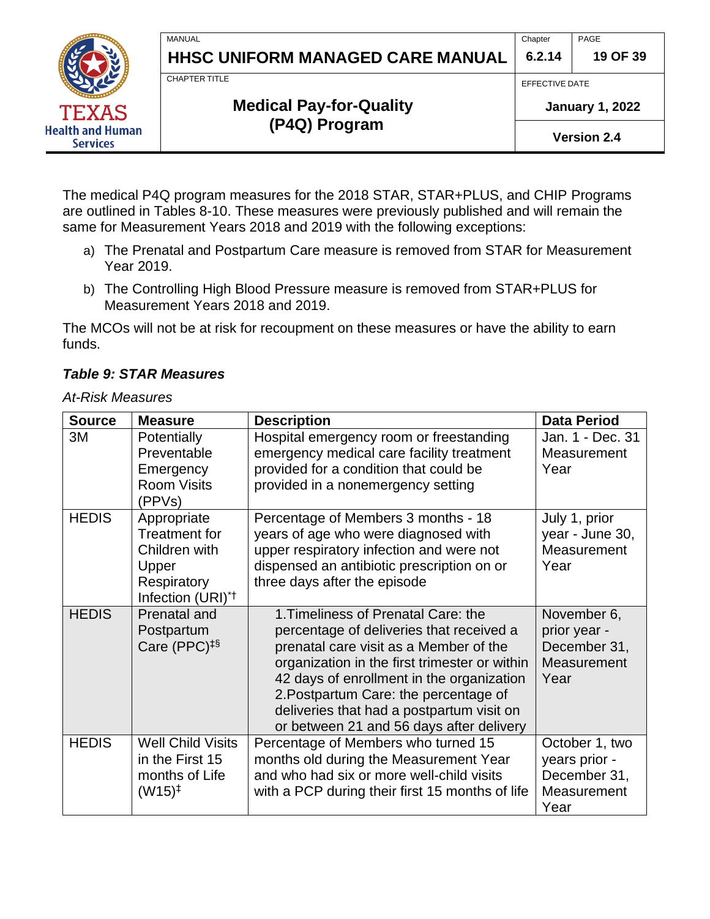**Chapter 6.2.14** PAGE

**19 OF 39**

CHAPTER TITLE

MANUAL

# **Medical Pay-for-Quality (P4Q) Program**

EFFECTIVE DATE

**January 1, 2022**

**Version 2.4**

The medical P4Q program measures for the 2018 STAR, STAR+PLUS, and CHIP Programs are outlined in Tables 8-10. These measures were previously published and will remain the same for Measurement Years 2018 and 2019 with the following exceptions:

- a) The Prenatal and Postpartum Care measure is removed from STAR for Measurement Year 2019.
- b) The Controlling High Blood Pressure measure is removed from STAR+PLUS for Measurement Years 2018 and 2019.

The MCOs will not be at risk for recoupment on these measures or have the ability to earn funds.

#### *Table 9: STAR Measures*

#### *At-Risk Measures*

<span id="page-18-1"></span><span id="page-18-0"></span>

| <b>Source</b> | <b>Measure</b>                                                                                         | <b>Description</b>                                                                                                                                                                                                                                                                                                                                        | <b>Data Period</b>                                                     |
|---------------|--------------------------------------------------------------------------------------------------------|-----------------------------------------------------------------------------------------------------------------------------------------------------------------------------------------------------------------------------------------------------------------------------------------------------------------------------------------------------------|------------------------------------------------------------------------|
| 3M            | Potentially<br>Preventable<br>Emergency<br><b>Room Visits</b><br>(PPVs)                                | Hospital emergency room or freestanding<br>emergency medical care facility treatment<br>provided for a condition that could be<br>provided in a nonemergency setting                                                                                                                                                                                      | Jan. 1 - Dec. 31<br>Measurement<br>Year                                |
| <b>HEDIS</b>  | Appropriate<br>Treatment for<br>Children with<br>Upper<br>Respiratory<br>Infection (URI) <sup>*†</sup> | Percentage of Members 3 months - 18<br>years of age who were diagnosed with<br>upper respiratory infection and were not<br>dispensed an antibiotic prescription on or<br>three days after the episode                                                                                                                                                     | July 1, prior<br>year - June 30,<br>Measurement<br>Year                |
| <b>HEDIS</b>  | <b>Prenatal and</b><br>Postpartum<br>Care (PPC) $‡§$                                                   | 1. Timeliness of Prenatal Care: the<br>percentage of deliveries that received a<br>prenatal care visit as a Member of the<br>organization in the first trimester or within<br>42 days of enrollment in the organization<br>2. Postpartum Care: the percentage of<br>deliveries that had a postpartum visit on<br>or between 21 and 56 days after delivery | November 6,<br>prior year -<br>December 31,<br>Measurement<br>Year     |
| <b>HEDIS</b>  | <b>Well Child Visits</b><br>in the First 15<br>months of Life<br>$(W15)^{\ddagger}$                    | Percentage of Members who turned 15<br>months old during the Measurement Year<br>and who had six or more well-child visits<br>with a PCP during their first 15 months of life                                                                                                                                                                             | October 1, two<br>years prior -<br>December 31,<br>Measurement<br>Year |

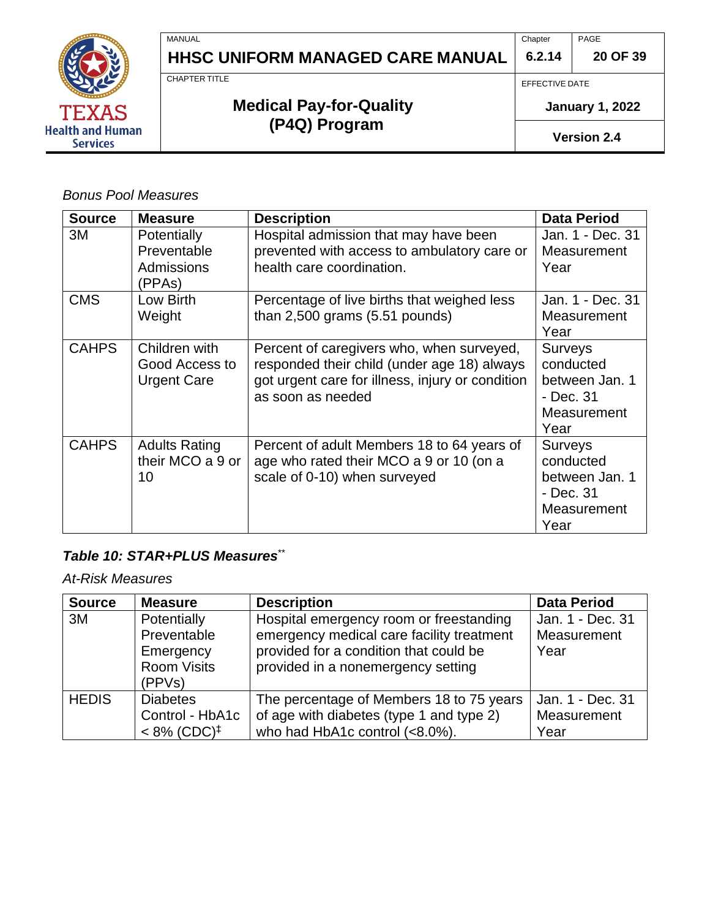

**Chapter** PAGE

**20 OF 39**

CHAPTER TITLE

# **Medical Pay-for-Quality (P4Q) Program**

EFFECTIVE DATE

**6.2.14**

**January 1, 2022**

**Version 2.4**

*Bonus Pool Measures*

AS

**Health and Human Services** 

| <b>Source</b> | <b>Measure</b>                                        | <b>Description</b>                                                                                                                                                | <b>Data Period</b>                                                                |
|---------------|-------------------------------------------------------|-------------------------------------------------------------------------------------------------------------------------------------------------------------------|-----------------------------------------------------------------------------------|
| 3M            | Potentially<br>Preventable<br>Admissions<br>(PPAs)    | Hospital admission that may have been<br>prevented with access to ambulatory care or<br>health care coordination.                                                 | Jan. 1 - Dec. 31<br>Measurement<br>Year                                           |
| <b>CMS</b>    | Low Birth<br>Weight                                   | Percentage of live births that weighed less<br>than $2,500$ grams $(5.51$ pounds)                                                                                 | Jan. 1 - Dec. 31<br>Measurement<br>Year                                           |
| <b>CAHPS</b>  | Children with<br>Good Access to<br><b>Urgent Care</b> | Percent of caregivers who, when surveyed,<br>responded their child (under age 18) always<br>got urgent care for illness, injury or condition<br>as soon as needed | <b>Surveys</b><br>conducted<br>between Jan. 1<br>- Dec. 31<br>Measurement<br>Year |
| <b>CAHPS</b>  | <b>Adults Rating</b><br>their MCO a 9 or<br>10        | Percent of adult Members 18 to 64 years of<br>age who rated their MCO a 9 or 10 (on a<br>scale of 0-10) when surveyed                                             | <b>Surveys</b><br>conducted<br>between Jan. 1<br>- Dec. 31<br>Measurement<br>Year |

#### <span id="page-19-0"></span>*Table 10: STAR+PLUS Measures*\*\*

*At-Risk Measures*

| <b>Source</b> | <b>Measure</b>                                                          | <b>Description</b>                                                                                                                                                   | <b>Data Period</b>                      |
|---------------|-------------------------------------------------------------------------|----------------------------------------------------------------------------------------------------------------------------------------------------------------------|-----------------------------------------|
| 3M            | Potentially<br>Preventable<br>Emergency<br><b>Room Visits</b><br>(PPVs) | Hospital emergency room or freestanding<br>emergency medical care facility treatment<br>provided for a condition that could be<br>provided in a nonemergency setting | Jan. 1 - Dec. 31<br>Measurement<br>Year |
| <b>HEDIS</b>  | <b>Diabetes</b><br>Control - HbA1c<br>$< 8\%$ (CDC) <sup>‡</sup>        | The percentage of Members 18 to 75 years<br>of age with diabetes (type 1 and type 2)<br>who had HbA1c control (<8.0%).                                               | Jan. 1 - Dec. 31<br>Measurement<br>Year |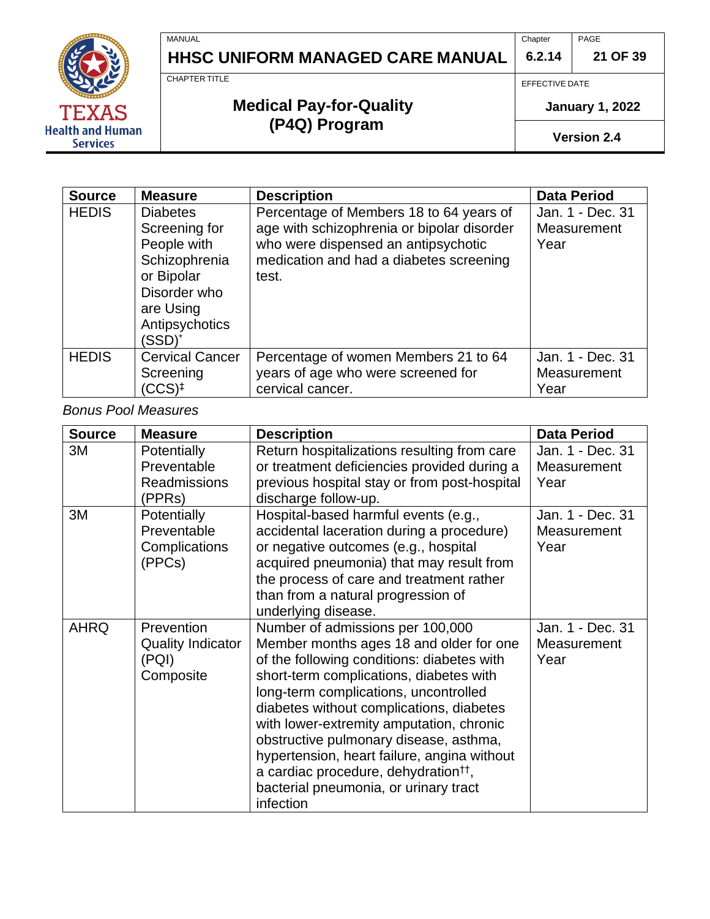**6.2.14 21 OF 39**

CHAPTER TITLE

MANUAL

# **Medical Pay-for-Quality (P4Q) Program**

**HHSC UNIFORM MANAGED CARE MANUAL**

EFFECTIVE DATE

**Chapter** 

**January 1, 2022**

PAGE

**Version 2.4**

| <b>Source</b> | <b>Measure</b>                                                                                                                          | <b>Description</b>                                                                                                                                                               | <b>Data Period</b>                      |
|---------------|-----------------------------------------------------------------------------------------------------------------------------------------|----------------------------------------------------------------------------------------------------------------------------------------------------------------------------------|-----------------------------------------|
| <b>HEDIS</b>  | <b>Diabetes</b><br>Screening for<br>People with<br>Schizophrenia<br>or Bipolar<br>Disorder who<br>are Using<br>Antipsychotics<br>(SSD)* | Percentage of Members 18 to 64 years of<br>age with schizophrenia or bipolar disorder<br>who were dispensed an antipsychotic<br>medication and had a diabetes screening<br>test. | Jan. 1 - Dec. 31<br>Measurement<br>Year |
| <b>HEDIS</b>  | <b>Cervical Cancer</b><br>Screening<br>$(CCS)^{\ddagger}$                                                                               | Percentage of women Members 21 to 64<br>years of age who were screened for<br>cervical cancer.                                                                                   | Jan. 1 - Dec. 31<br>Measurement<br>Year |

*Bonus Pool Measures*

| <b>Source</b> | <b>Measure</b>           | <b>Description</b>                               | <b>Data Period</b> |
|---------------|--------------------------|--------------------------------------------------|--------------------|
| 3M            | Potentially              | Return hospitalizations resulting from care      | Jan. 1 - Dec. 31   |
|               | Preventable              | or treatment deficiencies provided during a      | Measurement        |
|               | <b>Readmissions</b>      | previous hospital stay or from post-hospital     | Year               |
|               | (PPRs)                   | discharge follow-up.                             |                    |
| 3M            | Potentially              | Hospital-based harmful events (e.g.,             | Jan. 1 - Dec. 31   |
|               | Preventable              | accidental laceration during a procedure)        | Measurement        |
|               | Complications            | or negative outcomes (e.g., hospital             | Year               |
|               | (PPCs)                   | acquired pneumonia) that may result from         |                    |
|               |                          | the process of care and treatment rather         |                    |
|               |                          | than from a natural progression of               |                    |
|               |                          | underlying disease.                              |                    |
| <b>AHRQ</b>   | Prevention               | Number of admissions per 100,000                 | Jan. 1 - Dec. 31   |
|               | <b>Quality Indicator</b> | Member months ages 18 and older for one          | Measurement        |
|               | (PQI)                    | of the following conditions: diabetes with       | Year               |
|               | Composite                | short-term complications, diabetes with          |                    |
|               |                          | long-term complications, uncontrolled            |                    |
|               |                          | diabetes without complications, diabetes         |                    |
|               |                          | with lower-extremity amputation, chronic         |                    |
|               |                          | obstructive pulmonary disease, asthma,           |                    |
|               |                          | hypertension, heart failure, angina without      |                    |
|               |                          | a cardiac procedure, dehydration <sup>††</sup> , |                    |
|               |                          | bacterial pneumonia, or urinary tract            |                    |
|               |                          | infection                                        |                    |

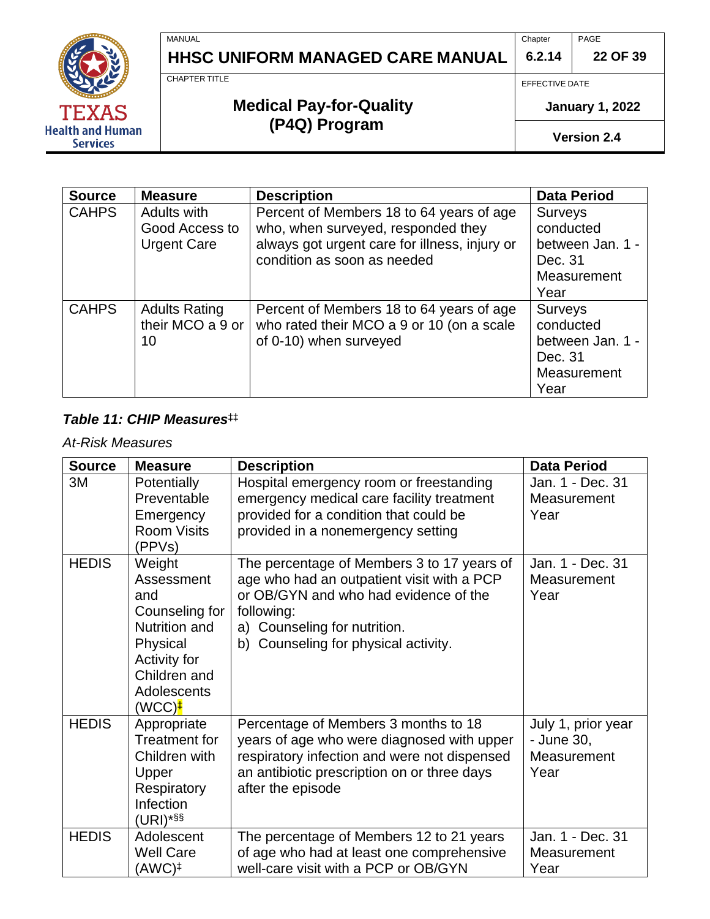**6.2.14** PAGE **22 OF 39**



MANUAL

CHAPTER TITLE

# **HHSC UNIFORM MANAGED CARE MANUAL**

**Medical Pay-for-Quality (P4Q) Program**

EFFECTIVE DATE

Chapter

**January 1, 2022**

**Version 2.4**

| <b>Source</b> | <b>Measure</b>                                      | <b>Description</b>                                                                                                                                             | <b>Data Period</b>                                                                |
|---------------|-----------------------------------------------------|----------------------------------------------------------------------------------------------------------------------------------------------------------------|-----------------------------------------------------------------------------------|
| <b>CAHPS</b>  | Adults with<br>Good Access to<br><b>Urgent Care</b> | Percent of Members 18 to 64 years of age<br>who, when surveyed, responded they<br>always got urgent care for illness, injury or<br>condition as soon as needed | <b>Surveys</b><br>conducted<br>between Jan. 1 -<br>Dec. 31<br>Measurement<br>Year |
| <b>CAHPS</b>  | <b>Adults Rating</b><br>their MCO a 9 or<br>10      | Percent of Members 18 to 64 years of age<br>who rated their MCO a 9 or 10 (on a scale<br>of 0-10) when surveyed                                                | <b>Surveys</b><br>conducted<br>between Jan. 1 -<br>Dec. 31<br>Measurement<br>Year |

## <span id="page-21-0"></span>*Table 11: CHIP Measures*‡‡

### *At-Risk Measures*

| <b>Source</b> | <b>Measure</b>                                                                                                                                  | <b>Description</b>                                                                                                                                                                                                      | <b>Data Period</b>                                      |
|---------------|-------------------------------------------------------------------------------------------------------------------------------------------------|-------------------------------------------------------------------------------------------------------------------------------------------------------------------------------------------------------------------------|---------------------------------------------------------|
| 3M            | Potentially<br>Preventable<br>Emergency<br><b>Room Visits</b><br>(PPVs)                                                                         | Hospital emergency room or freestanding<br>emergency medical care facility treatment<br>provided for a condition that could be<br>provided in a nonemergency setting                                                    | Jan. 1 - Dec. 31<br>Measurement<br>Year                 |
| <b>HEDIS</b>  | Weight<br>Assessment<br>and<br>Counseling for<br>Nutrition and<br>Physical<br>Activity for<br>Children and<br>Adolescents<br>$(WCC)^{\ddagger}$ | The percentage of Members 3 to 17 years of<br>age who had an outpatient visit with a PCP<br>or OB/GYN and who had evidence of the<br>following:<br>a) Counseling for nutrition.<br>b) Counseling for physical activity. | Jan. 1 - Dec. 31<br>Measurement<br>Year                 |
| <b>HEDIS</b>  | Appropriate<br>Treatment for<br>Children with<br>Upper<br>Respiratory<br>Infection<br>$(URI)*$ §§                                               | Percentage of Members 3 months to 18<br>years of age who were diagnosed with upper<br>respiratory infection and were not dispensed<br>an antibiotic prescription on or three days<br>after the episode                  | July 1, prior year<br>- June 30,<br>Measurement<br>Year |
| <b>HEDIS</b>  | Adolescent<br><b>Well Care</b><br>(AWC)‡                                                                                                        | The percentage of Members 12 to 21 years<br>of age who had at least one comprehensive<br>well-care visit with a PCP or OB/GYN                                                                                           | Jan. 1 - Dec. 31<br>Measurement<br>Year                 |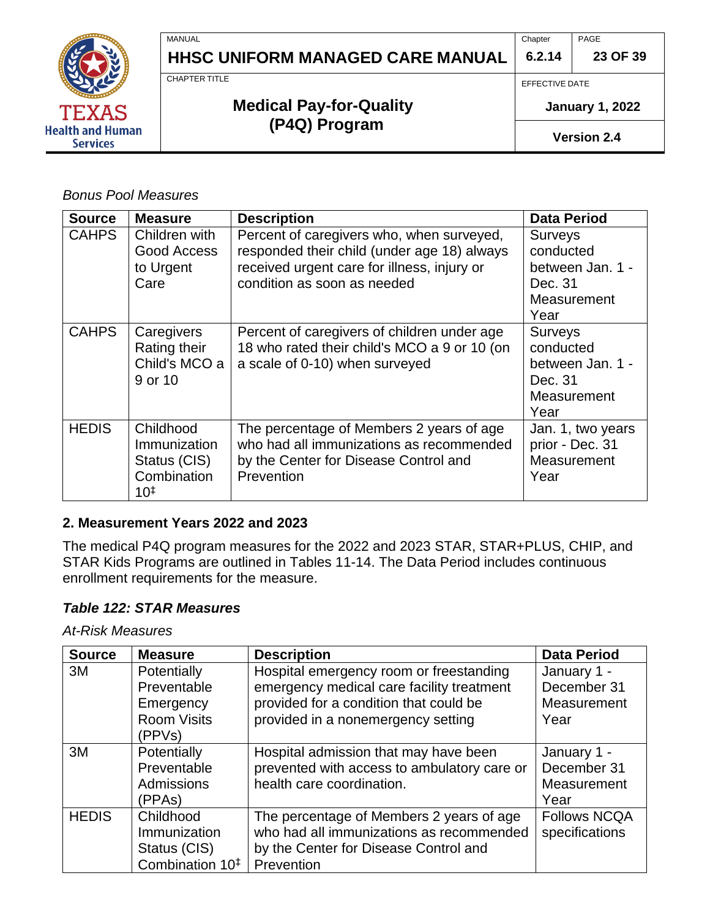

**Chapter 6.2.14** PAGE

**23 OF 39**

CHAPTER TITLE

MANUAL

# **Medical Pay-for-Quality (P4Q) Program**

EFFECTIVE DATE

**January 1, 2022**

**Version 2.4**

*Bonus Pool Measures*

| <b>Source</b> | <b>Measure</b>                                                       | <b>Description</b>                                                                                                                                                     | <b>Data Period</b>                                                                |
|---------------|----------------------------------------------------------------------|------------------------------------------------------------------------------------------------------------------------------------------------------------------------|-----------------------------------------------------------------------------------|
| <b>CAHPS</b>  | Children with<br>Good Access<br>to Urgent<br>Care                    | Percent of caregivers who, when surveyed,<br>responded their child (under age 18) always<br>received urgent care for illness, injury or<br>condition as soon as needed | <b>Surveys</b><br>conducted<br>between Jan. 1 -<br>Dec. 31<br>Measurement<br>Year |
| <b>CAHPS</b>  | Caregivers<br>Rating their<br>Child's MCO a<br>9 or 10               | Percent of caregivers of children under age<br>18 who rated their child's MCO a 9 or 10 (on<br>a scale of 0-10) when surveyed                                          | <b>Surveys</b><br>conducted<br>between Jan. 1 -<br>Dec. 31<br>Measurement<br>Year |
| <b>HEDIS</b>  | Childhood<br>Immunization<br>Status (CIS)<br>Combination<br>$10^{1}$ | The percentage of Members 2 years of age<br>who had all immunizations as recommended<br>by the Center for Disease Control and<br>Prevention                            | Jan. 1, two years<br>prior - Dec. 31<br>Measurement<br>Year                       |

#### <span id="page-22-0"></span>**2. Measurement Years 2022 and 2023**

The medical P4Q program measures for the 2022 and 2023 STAR, STAR+PLUS, CHIP, and STAR Kids Programs are outlined in Tables 11-14. The Data Period includes continuous enrollment requirements for the measure.

#### *Table 122: STAR Measures*

*At-Risk Measures*

| <b>Source</b> | <b>Measure</b>                                                           | <b>Description</b>                                                                                                                                                   | <b>Data Period</b>                                |
|---------------|--------------------------------------------------------------------------|----------------------------------------------------------------------------------------------------------------------------------------------------------------------|---------------------------------------------------|
| 3M            | Potentially<br>Preventable<br>Emergency<br><b>Room Visits</b><br>(PPVs)  | Hospital emergency room or freestanding<br>emergency medical care facility treatment<br>provided for a condition that could be<br>provided in a nonemergency setting | January 1 -<br>December 31<br>Measurement<br>Year |
| 3M            | Potentially<br>Preventable<br>Admissions<br>(PPAs)                       | Hospital admission that may have been<br>prevented with access to ambulatory care or<br>health care coordination.                                                    | January 1 -<br>December 31<br>Measurement<br>Year |
| <b>HEDIS</b>  | Childhood<br>Immunization<br>Status (CIS)<br>Combination 10 <sup>‡</sup> | The percentage of Members 2 years of age<br>who had all immunizations as recommended<br>by the Center for Disease Control and<br>Prevention                          | <b>Follows NCQA</b><br>specifications             |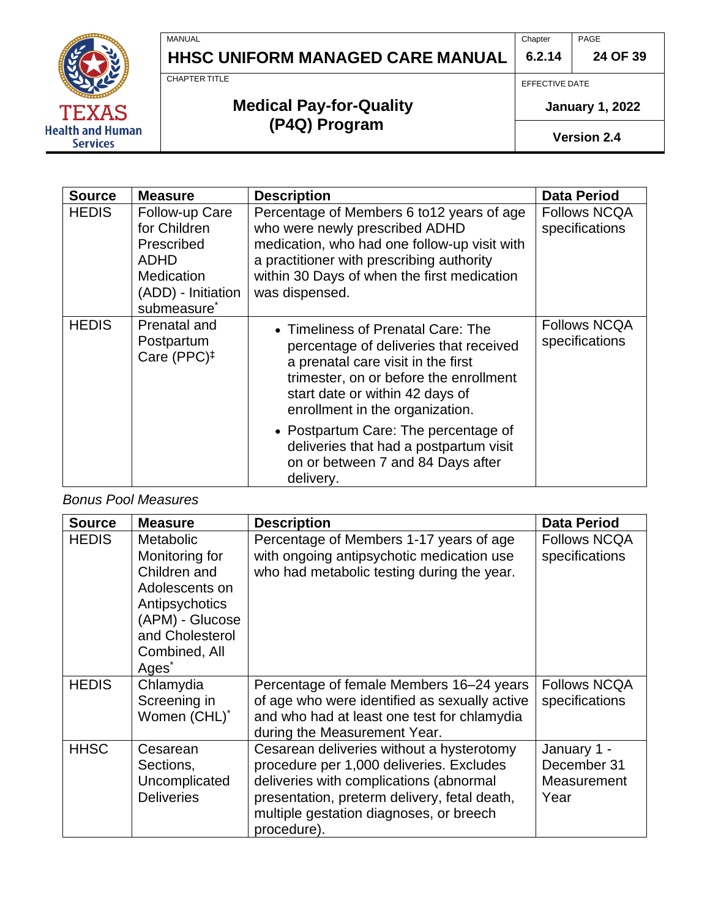**6.2.14 24 OF 39**

PAGE



MANUAL

CHAPTER TITLE

# **HHSC UNIFORM MANAGED CARE MANUAL**

**Medical Pay-for-Quality (P4Q) Program**

EFFECTIVE DATE

**Chapter** 

**January 1, 2022**

**Version 2.4**

| <b>Source</b> | <b>Measure</b>                                                                                                             | <b>Description</b>                                                                                                                                                                                                                         | <b>Data Period</b>                    |
|---------------|----------------------------------------------------------------------------------------------------------------------------|--------------------------------------------------------------------------------------------------------------------------------------------------------------------------------------------------------------------------------------------|---------------------------------------|
| <b>HEDIS</b>  | Follow-up Care<br>for Children<br>Prescribed<br><b>ADHD</b><br>Medication<br>(ADD) - Initiation<br>submeasure <sup>*</sup> | Percentage of Members 6 to 12 years of age<br>who were newly prescribed ADHD<br>medication, who had one follow-up visit with<br>a practitioner with prescribing authority<br>within 30 Days of when the first medication<br>was dispensed. | <b>Follows NCQA</b><br>specifications |
| <b>HEDIS</b>  | Prenatal and<br>Postpartum<br>Care (PPC) <sup>‡</sup>                                                                      | • Timeliness of Prenatal Care: The<br>percentage of deliveries that received<br>a prenatal care visit in the first<br>trimester, on or before the enrollment<br>start date or within 42 days of<br>enrollment in the organization.         | <b>Follows NCQA</b><br>specifications |
|               |                                                                                                                            | • Postpartum Care: The percentage of<br>deliveries that had a postpartum visit<br>on or between 7 and 84 Days after<br>delivery.                                                                                                           |                                       |

*Bonus Pool Measures*

| <b>Source</b> | <b>Measure</b>                                                                                                                                                     | <b>Description</b>                                                                                                                                                                                                                         | <b>Data Period</b>                                |
|---------------|--------------------------------------------------------------------------------------------------------------------------------------------------------------------|--------------------------------------------------------------------------------------------------------------------------------------------------------------------------------------------------------------------------------------------|---------------------------------------------------|
| <b>HEDIS</b>  | <b>Metabolic</b><br>Monitoring for<br>Children and<br>Adolescents on<br>Antipsychotics<br>(APM) - Glucose<br>and Cholesterol<br>Combined, All<br>Ages <sup>*</sup> | Percentage of Members 1-17 years of age<br>with ongoing antipsychotic medication use<br>who had metabolic testing during the year.                                                                                                         | <b>Follows NCQA</b><br>specifications             |
| <b>HEDIS</b>  | Chlamydia<br>Screening in<br>Women (CHL)*                                                                                                                          | Percentage of female Members 16–24 years<br>of age who were identified as sexually active<br>and who had at least one test for chlamydia<br>during the Measurement Year.                                                                   | <b>Follows NCQA</b><br>specifications             |
| <b>HHSC</b>   | Cesarean<br>Sections,<br>Uncomplicated<br><b>Deliveries</b>                                                                                                        | Cesarean deliveries without a hysterotomy<br>procedure per 1,000 deliveries. Excludes<br>deliveries with complications (abnormal<br>presentation, preterm delivery, fetal death,<br>multiple gestation diagnoses, or breech<br>procedure). | January 1 -<br>December 31<br>Measurement<br>Year |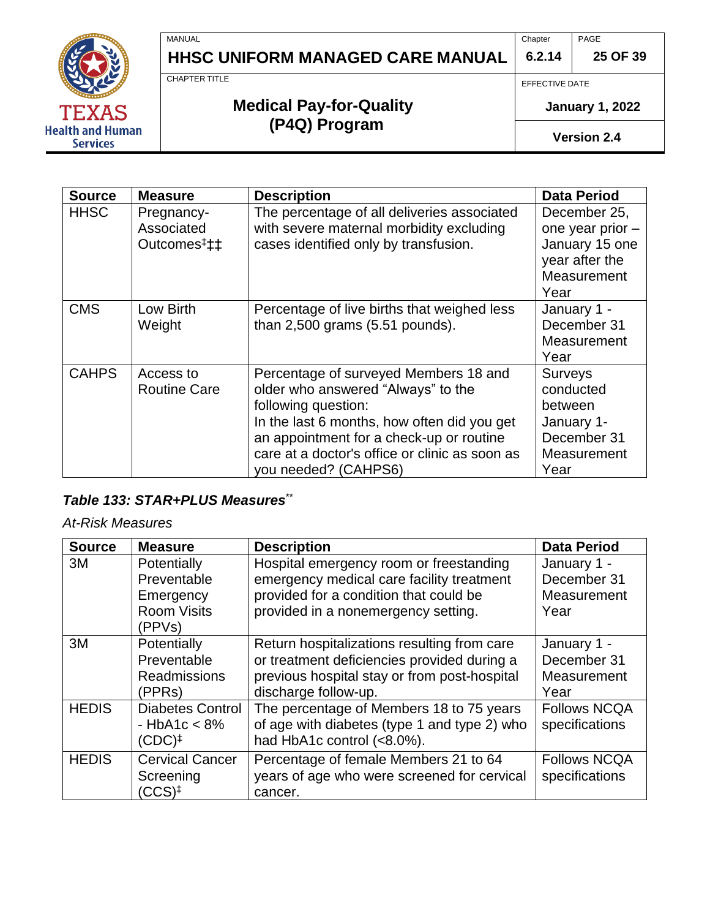**6.2.14** PAGE **25 OF 39**



MANUAL

# **HHSC UNIFORM MANAGED CARE MANUAL**

EFFECTIVE DATE

Chapter

**January 1, 2022**

**Version 2.4**

| <b>Source</b> | <b>Measure</b>                                      | <b>Description</b>                                                                                                                                                                                                                                                      | <b>Data Period</b>                                                                          |
|---------------|-----------------------------------------------------|-------------------------------------------------------------------------------------------------------------------------------------------------------------------------------------------------------------------------------------------------------------------------|---------------------------------------------------------------------------------------------|
| <b>HHSC</b>   | Pregnancy-<br>Associated<br>Outcomes <sup>#</sup> # | The percentage of all deliveries associated<br>with severe maternal morbidity excluding<br>cases identified only by transfusion.                                                                                                                                        | December 25,<br>one year prior -<br>January 15 one<br>year after the<br>Measurement<br>Year |
| <b>CMS</b>    | Low Birth<br>Weight                                 | Percentage of live births that weighed less<br>than $2,500$ grams $(5.51$ pounds).                                                                                                                                                                                      | January 1 -<br>December 31<br>Measurement<br>Year                                           |
| <b>CAHPS</b>  | Access to<br><b>Routine Care</b>                    | Percentage of surveyed Members 18 and<br>older who answered "Always" to the<br>following question:<br>In the last 6 months, how often did you get<br>an appointment for a check-up or routine<br>care at a doctor's office or clinic as soon as<br>you needed? (CAHPS6) | <b>Surveys</b><br>conducted<br>between<br>January 1-<br>December 31<br>Measurement<br>Year  |

#### *Table 133: STAR+PLUS Measures*[\\*\\*](#page-19-0)

#### *At-Risk Measures*

| <b>Source</b> | <b>Measure</b>                                                          | <b>Description</b>                                                                                                                                                    | <b>Data Period</b>                                |
|---------------|-------------------------------------------------------------------------|-----------------------------------------------------------------------------------------------------------------------------------------------------------------------|---------------------------------------------------|
| 3M            | Potentially<br>Preventable<br>Emergency<br><b>Room Visits</b><br>(PPVs) | Hospital emergency room or freestanding<br>emergency medical care facility treatment<br>provided for a condition that could be<br>provided in a nonemergency setting. | January 1 -<br>December 31<br>Measurement<br>Year |
| 3M            | Potentially<br>Preventable<br><b>Readmissions</b><br>(PPRs)             | Return hospitalizations resulting from care<br>or treatment deficiencies provided during a<br>previous hospital stay or from post-hospital<br>discharge follow-up.    | January 1 -<br>December 31<br>Measurement<br>Year |
| <b>HEDIS</b>  | <b>Diabetes Control</b><br>$-HbA1c < 8%$<br>$(CDC)^{\ddagger}$          | The percentage of Members 18 to 75 years<br>of age with diabetes (type 1 and type 2) who<br>had HbA1c control (<8.0%).                                                | <b>Follows NCQA</b><br>specifications             |
| <b>HEDIS</b>  | <b>Cervical Cancer</b><br>Screening<br>$(CCS)^{\ddagger}$               | Percentage of female Members 21 to 64<br>years of age who were screened for cervical<br>cancer.                                                                       | <b>Follows NCQA</b><br>specifications             |



**Medical Pay-for-Quality (P4Q) Program**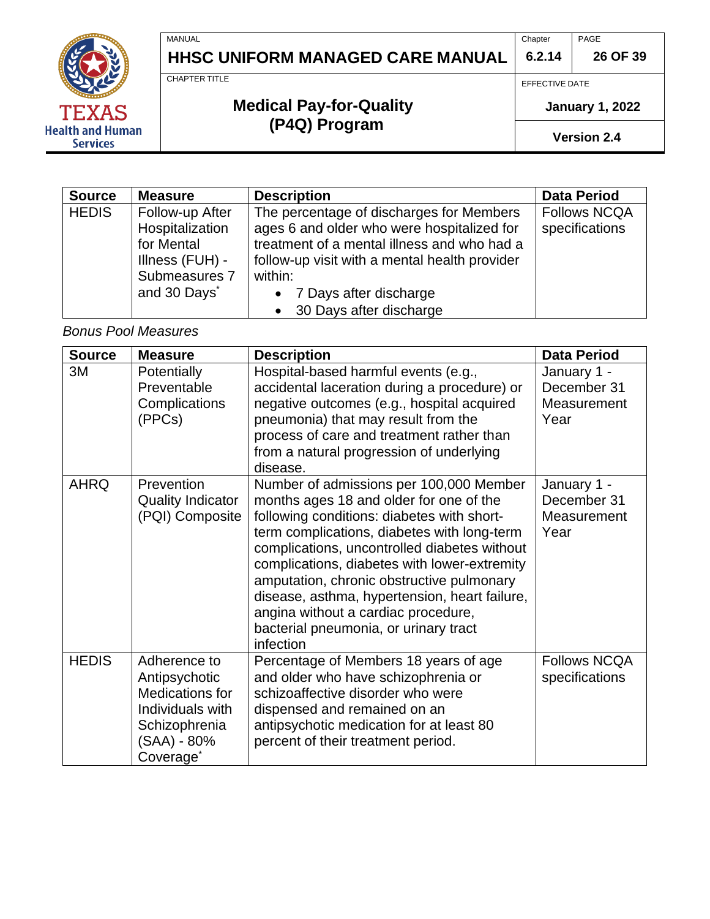**6.2.14 26 OF 39**



# **HHSC UNIFORM MANAGED CARE MANUAL**

**Medical Pay-for-Quality (P4Q) Program**

EFFECTIVE DATE

**Chapter** 

#### **January 1, 2022**

PAGE

**Version 2.4**

| <b>Source</b> | <b>Measure</b>                                                                                                   | <b>Description</b>                                                                                                                                                                                                                                                    | <b>Data Period</b>                    |
|---------------|------------------------------------------------------------------------------------------------------------------|-----------------------------------------------------------------------------------------------------------------------------------------------------------------------------------------------------------------------------------------------------------------------|---------------------------------------|
| <b>HEDIS</b>  | Follow-up After<br>Hospitalization<br>for Mental<br>Illness (FUH) -<br>Submeasures 7<br>and 30 Days <sup>*</sup> | The percentage of discharges for Members<br>ages 6 and older who were hospitalized for<br>treatment of a mental illness and who had a<br>follow-up visit with a mental health provider<br>within:<br>• 7 Days after discharge<br>30 Days after discharge<br>$\bullet$ | <b>Follows NCQA</b><br>specifications |

*Bonus Pool Measures*

| <b>Source</b> | <b>Measure</b>                                                                                                                | <b>Description</b>                                                                                                                                                                                                                                                                                                                                                                                                                                                         | <b>Data Period</b>                                |
|---------------|-------------------------------------------------------------------------------------------------------------------------------|----------------------------------------------------------------------------------------------------------------------------------------------------------------------------------------------------------------------------------------------------------------------------------------------------------------------------------------------------------------------------------------------------------------------------------------------------------------------------|---------------------------------------------------|
| 3M            | <b>Potentially</b><br>Preventable<br>Complications<br>(PPCs)                                                                  | Hospital-based harmful events (e.g.,<br>accidental laceration during a procedure) or<br>negative outcomes (e.g., hospital acquired<br>pneumonia) that may result from the<br>process of care and treatment rather than<br>from a natural progression of underlying<br>disease.                                                                                                                                                                                             | January 1 -<br>December 31<br>Measurement<br>Year |
| <b>AHRQ</b>   | Prevention<br><b>Quality Indicator</b><br>(PQI) Composite                                                                     | Number of admissions per 100,000 Member<br>months ages 18 and older for one of the<br>following conditions: diabetes with short-<br>term complications, diabetes with long-term<br>complications, uncontrolled diabetes without<br>complications, diabetes with lower-extremity<br>amputation, chronic obstructive pulmonary<br>disease, asthma, hypertension, heart failure,<br>angina without a cardiac procedure,<br>bacterial pneumonia, or urinary tract<br>infection | January 1 -<br>December 31<br>Measurement<br>Year |
| <b>HEDIS</b>  | Adherence to<br>Antipsychotic<br>Medications for<br>Individuals with<br>Schizophrenia<br>(SAA) - 80%<br>Coverage <sup>®</sup> | Percentage of Members 18 years of age<br>and older who have schizophrenia or<br>schizoaffective disorder who were<br>dispensed and remained on an<br>antipsychotic medication for at least 80<br>percent of their treatment period.                                                                                                                                                                                                                                        | <b>Follows NCQA</b><br>specifications             |

MANUAL

CHAPTER TITLE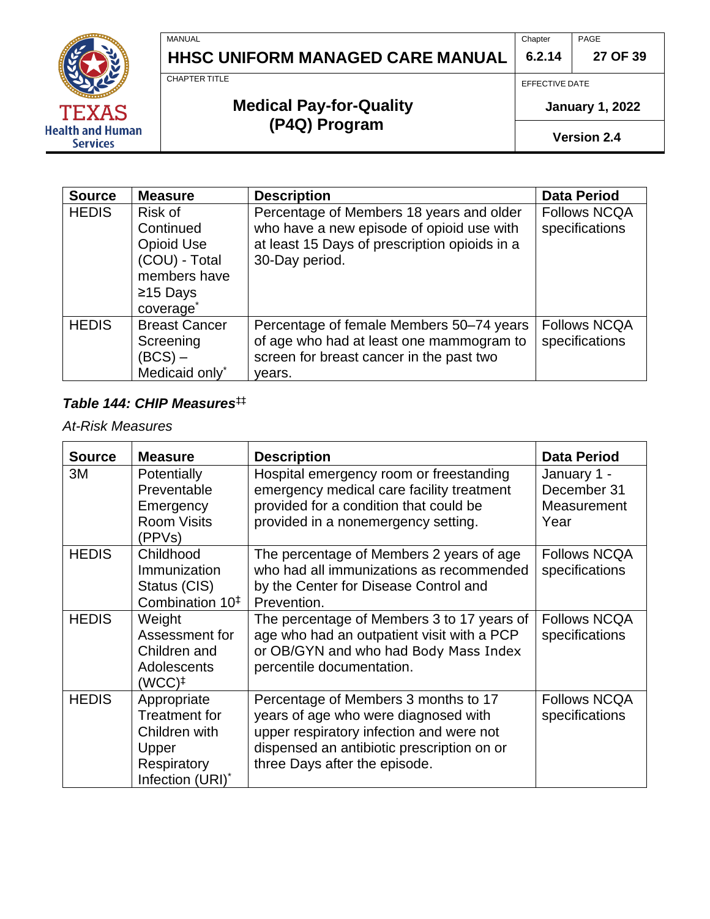**6.2.14 27 OF 39**

PAGE



MANUAL

# **Medical Pay-for-Quality (P4Q) Program**

**HHSC UNIFORM MANAGED CARE MANUAL**

EFFECTIVE DATE

Chapter

**January 1, 2022**

**Version 2.4**

| <b>Source</b> | <b>Measure</b>                                                                                | <b>Description</b>                                                                                                                                       | <b>Data Period</b>                    |
|---------------|-----------------------------------------------------------------------------------------------|----------------------------------------------------------------------------------------------------------------------------------------------------------|---------------------------------------|
| <b>HEDIS</b>  | Risk of<br>Continued<br>Opioid Use<br>(COU) - Total<br>members have<br>$≥15$ Days<br>coverage | Percentage of Members 18 years and older<br>who have a new episode of opioid use with<br>at least 15 Days of prescription opioids in a<br>30-Day period. | <b>Follows NCQA</b><br>specifications |
| <b>HEDIS</b>  | <b>Breast Cancer</b><br>Screening<br>$(BCS)$ –<br>Medicaid only*                              | Percentage of female Members 50–74 years<br>of age who had at least one mammogram to<br>screen for breast cancer in the past two<br>years.               | <b>Follows NCQA</b><br>specifications |

#### *Table 144: CHIP Measures*[‡‡](#page-21-0)

*At-Risk Measures*

| <b>Source</b> | <b>Measure</b>                                                                                   | <b>Description</b>                                                                                                                                                                                      | <b>Data Period</b>                                |
|---------------|--------------------------------------------------------------------------------------------------|---------------------------------------------------------------------------------------------------------------------------------------------------------------------------------------------------------|---------------------------------------------------|
| 3M            | Potentially<br>Preventable<br>Emergency<br><b>Room Visits</b><br>(PPVs)                          | Hospital emergency room or freestanding<br>emergency medical care facility treatment<br>provided for a condition that could be<br>provided in a nonemergency setting.                                   | January 1 -<br>December 31<br>Measurement<br>Year |
| <b>HEDIS</b>  | Childhood<br>Immunization<br>Status (CIS)<br>Combination 10 <sup>‡</sup>                         | The percentage of Members 2 years of age<br>who had all immunizations as recommended<br>by the Center for Disease Control and<br>Prevention.                                                            | <b>Follows NCQA</b><br>specifications             |
| <b>HEDIS</b>  | Weight<br>Assessment for<br>Children and<br>Adolescents<br>$(WCC)^{\ddagger}$                    | The percentage of Members 3 to 17 years of<br>age who had an outpatient visit with a PCP<br>or OB/GYN and who had Body Mass Index<br>percentile documentation.                                          | <b>Follows NCQA</b><br>specifications             |
| <b>HEDIS</b>  | Appropriate<br><b>Treatment for</b><br>Children with<br>Upper<br>Respiratory<br>Infection (URI)* | Percentage of Members 3 months to 17<br>years of age who were diagnosed with<br>upper respiratory infection and were not<br>dispensed an antibiotic prescription on or<br>three Days after the episode. | <b>Follows NCQA</b><br>specifications             |

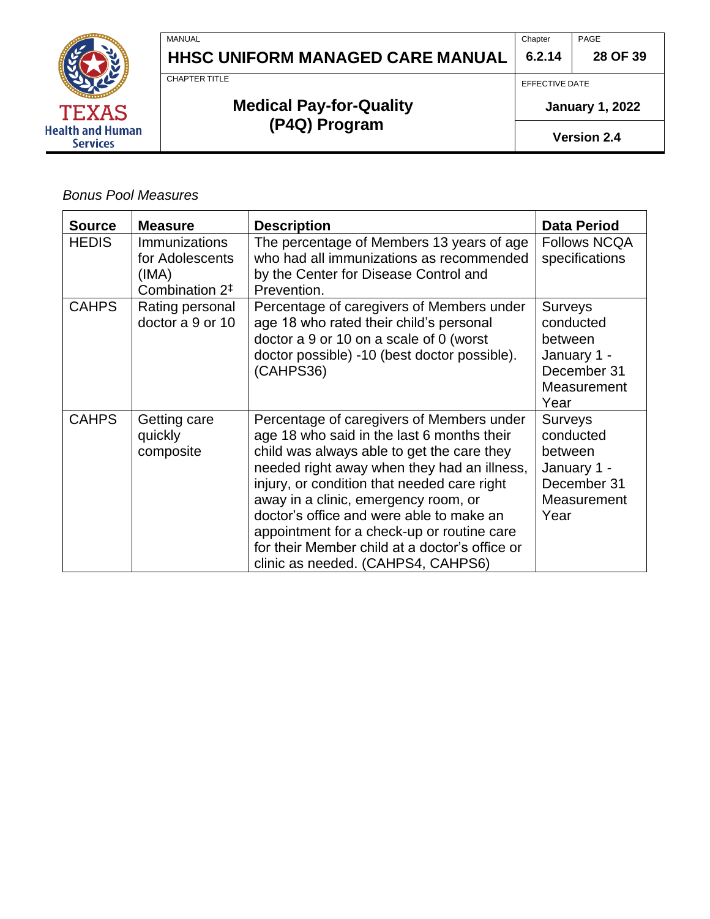

**Chapter** PAGE

**28 OF 39**

CHAPTER TITLE

MANUAL

# **Medical Pay-for-Quality (P4Q) Program**

EFFECTIVE DATE

**6.2.14**

**January 1, 2022**

**Version 2.4**

#### *Bonus Pool Measures*

| <b>Source</b> | <b>Measure</b>                                                                 | <b>Description</b>                                                                                                                                                                                                                                                                                                                                                                                                                                            | <b>Data Period</b>                                                                          |
|---------------|--------------------------------------------------------------------------------|---------------------------------------------------------------------------------------------------------------------------------------------------------------------------------------------------------------------------------------------------------------------------------------------------------------------------------------------------------------------------------------------------------------------------------------------------------------|---------------------------------------------------------------------------------------------|
| <b>HEDIS</b>  | <b>Immunizations</b><br>for Adolescents<br>(IMA)<br>Combination 2 <sup>‡</sup> | The percentage of Members 13 years of age<br>who had all immunizations as recommended<br>by the Center for Disease Control and<br>Prevention.                                                                                                                                                                                                                                                                                                                 | <b>Follows NCQA</b><br>specifications                                                       |
| <b>CAHPS</b>  | Rating personal<br>doctor a 9 or 10                                            | Percentage of caregivers of Members under<br>age 18 who rated their child's personal<br>doctor a 9 or 10 on a scale of 0 (worst<br>doctor possible) -10 (best doctor possible).<br>(CAHPS36)                                                                                                                                                                                                                                                                  | <b>Surveys</b><br>conducted<br>between<br>January 1 -<br>December 31<br>Measurement<br>Year |
| <b>CAHPS</b>  | Getting care<br>quickly<br>composite                                           | Percentage of caregivers of Members under<br>age 18 who said in the last 6 months their<br>child was always able to get the care they<br>needed right away when they had an illness,<br>injury, or condition that needed care right<br>away in a clinic, emergency room, or<br>doctor's office and were able to make an<br>appointment for a check-up or routine care<br>for their Member child at a doctor's office or<br>clinic as needed. (CAHPS4, CAHPS6) | <b>Surveys</b><br>conducted<br>between<br>January 1 -<br>December 31<br>Measurement<br>Year |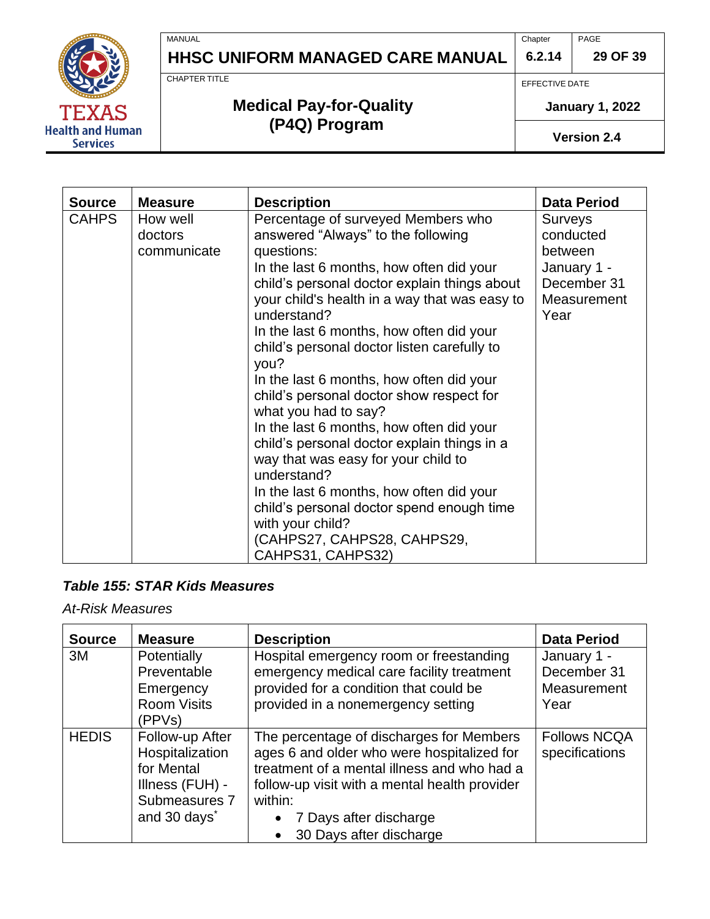MANUAL

**Health and Human Services** 

# **HHSC UNIFORM MANAGED CARE MANUAL**

**Chapter** PAGE

**29 OF 39**

CHAPTER TITLE

# **Medical Pay-for-Quality (P4Q) Program**

EFFECTIVE DATE

**6.2.14**

**January 1, 2022**

**Version 2.4**

| <b>Source</b> | <b>Measure</b>                     | <b>Description</b>                                                                                                                                                                                                                                                                                                                                                                                                                                                                                                                                                                                                                                                                                                                                                                      | <b>Data Period</b>                                                                          |
|---------------|------------------------------------|-----------------------------------------------------------------------------------------------------------------------------------------------------------------------------------------------------------------------------------------------------------------------------------------------------------------------------------------------------------------------------------------------------------------------------------------------------------------------------------------------------------------------------------------------------------------------------------------------------------------------------------------------------------------------------------------------------------------------------------------------------------------------------------------|---------------------------------------------------------------------------------------------|
| <b>CAHPS</b>  | How well<br>doctors<br>communicate | Percentage of surveyed Members who<br>answered "Always" to the following<br>questions:<br>In the last 6 months, how often did your<br>child's personal doctor explain things about<br>your child's health in a way that was easy to<br>understand?<br>In the last 6 months, how often did your<br>child's personal doctor listen carefully to<br>you?<br>In the last 6 months, how often did your<br>child's personal doctor show respect for<br>what you had to say?<br>In the last 6 months, how often did your<br>child's personal doctor explain things in a<br>way that was easy for your child to<br>understand?<br>In the last 6 months, how often did your<br>child's personal doctor spend enough time<br>with your child?<br>(CAHPS27, CAHPS28, CAHPS29,<br>CAHPS31, CAHPS32) | <b>Surveys</b><br>conducted<br>between<br>January 1 -<br>December 31<br>Measurement<br>Year |

#### *Table 155: STAR Kids Measures*

*At-Risk Measures*

| <b>Source</b> | <b>Measure</b>                                                                                                   | <b>Description</b>                                                                                                                                                                                                                                                  | <b>Data Period</b>                                |
|---------------|------------------------------------------------------------------------------------------------------------------|---------------------------------------------------------------------------------------------------------------------------------------------------------------------------------------------------------------------------------------------------------------------|---------------------------------------------------|
| 3M            | Potentially<br>Preventable<br>Emergency<br><b>Room Visits</b><br>(PPVs)                                          | Hospital emergency room or freestanding<br>emergency medical care facility treatment<br>provided for a condition that could be<br>provided in a nonemergency setting                                                                                                | January 1 -<br>December 31<br>Measurement<br>Year |
| <b>HEDIS</b>  | Follow-up After<br>Hospitalization<br>for Mental<br>Illness (FUH) -<br>Submeasures 7<br>and 30 days <sup>*</sup> | The percentage of discharges for Members<br>ages 6 and older who were hospitalized for<br>treatment of a mental illness and who had a<br>follow-up visit with a mental health provider<br>within:<br>7 Days after discharge<br>$\bullet$<br>30 Days after discharge | <b>Follows NCQA</b><br>specifications             |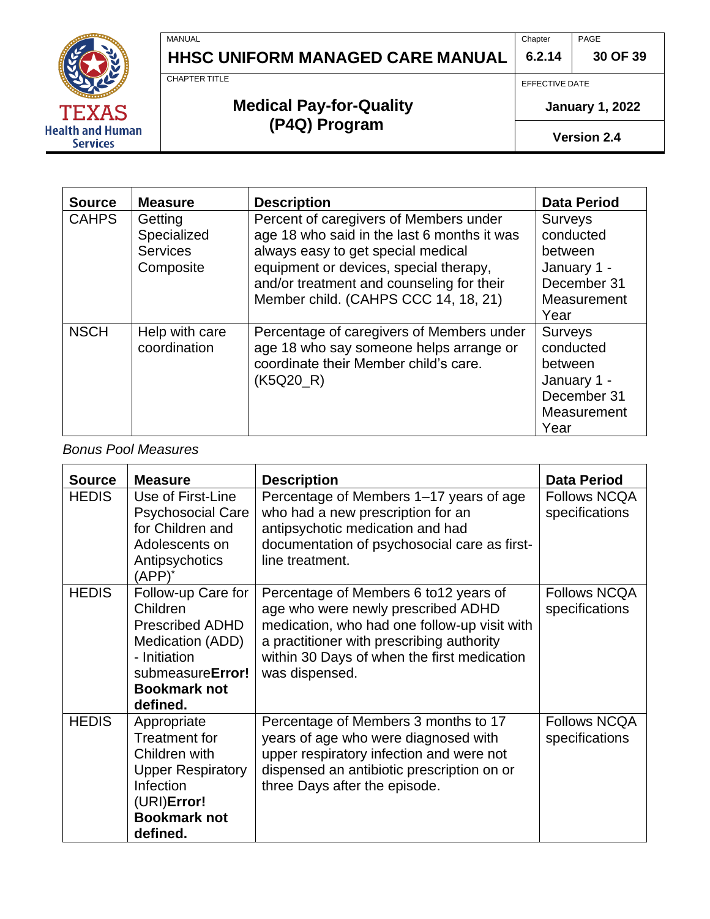**6.2.14** PAGE **30 OF 39**



# **HHSC UNIFORM MANAGED CARE MANUAL**

EFFECTIVE DATE

**Chapter** 

#### **January 1, 2022**

**Version 2.4**

| <b>Source</b> | <b>Measure</b>  | <b>Description</b>                          | <b>Data Period</b> |
|---------------|-----------------|---------------------------------------------|--------------------|
| <b>CAHPS</b>  | Getting         | Percent of caregivers of Members under      | <b>Surveys</b>     |
|               | Specialized     | age 18 who said in the last 6 months it was | conducted          |
|               | <b>Services</b> | always easy to get special medical          | between            |
|               | Composite       | equipment or devices, special therapy,      | January 1 -        |
|               |                 | and/or treatment and counseling for their   | December 31        |
|               |                 | Member child. (CAHPS CCC 14, 18, 21)        | Measurement        |
|               |                 |                                             | Year               |
| <b>NSCH</b>   | Help with care  | Percentage of caregivers of Members under   | Surveys            |
|               | coordination    | age 18 who say someone helps arrange or     | conducted          |
|               |                 | coordinate their Member child's care.       | between            |
|               |                 | (K5Q20_R)                                   | January 1 -        |
|               |                 |                                             | December 31        |
|               |                 |                                             | Measurement        |
|               |                 |                                             | Year               |

#### *Bonus Pool Measures*

| <b>Source</b> | <b>Measure</b>                                                                                                                                      | <b>Description</b>                                                                                                                                                                                                                         | <b>Data Period</b>                    |
|---------------|-----------------------------------------------------------------------------------------------------------------------------------------------------|--------------------------------------------------------------------------------------------------------------------------------------------------------------------------------------------------------------------------------------------|---------------------------------------|
| <b>HEDIS</b>  | Use of First-Line<br><b>Psychosocial Care</b><br>for Children and<br>Adolescents on<br>Antipsychotics<br>$(APP)^*$                                  | Percentage of Members 1–17 years of age<br>who had a new prescription for an<br>antipsychotic medication and had<br>documentation of psychosocial care as first-<br>line treatment.                                                        | <b>Follows NCQA</b><br>specifications |
| <b>HEDIS</b>  | Follow-up Care for<br>Children<br><b>Prescribed ADHD</b><br>Medication (ADD)<br>- Initiation<br>submeasureError!<br><b>Bookmark not</b><br>defined. | Percentage of Members 6 to 12 years of<br>age who were newly prescribed ADHD<br>medication, who had one follow-up visit with<br>a practitioner with prescribing authority<br>within 30 Days of when the first medication<br>was dispensed. | <b>Follows NCQA</b><br>specifications |
| <b>HEDIS</b>  | Appropriate<br><b>Treatment for</b><br>Children with<br><b>Upper Respiratory</b><br>Infection<br>(URI)Error!<br><b>Bookmark not</b><br>defined.     | Percentage of Members 3 months to 17<br>years of age who were diagnosed with<br>upper respiratory infection and were not<br>dispensed an antibiotic prescription on or<br>three Days after the episode.                                    | <b>Follows NCQA</b><br>specifications |

CHAPTER TITLE

MANUAL

# **Medical Pay-for-Quality (P4Q) Program**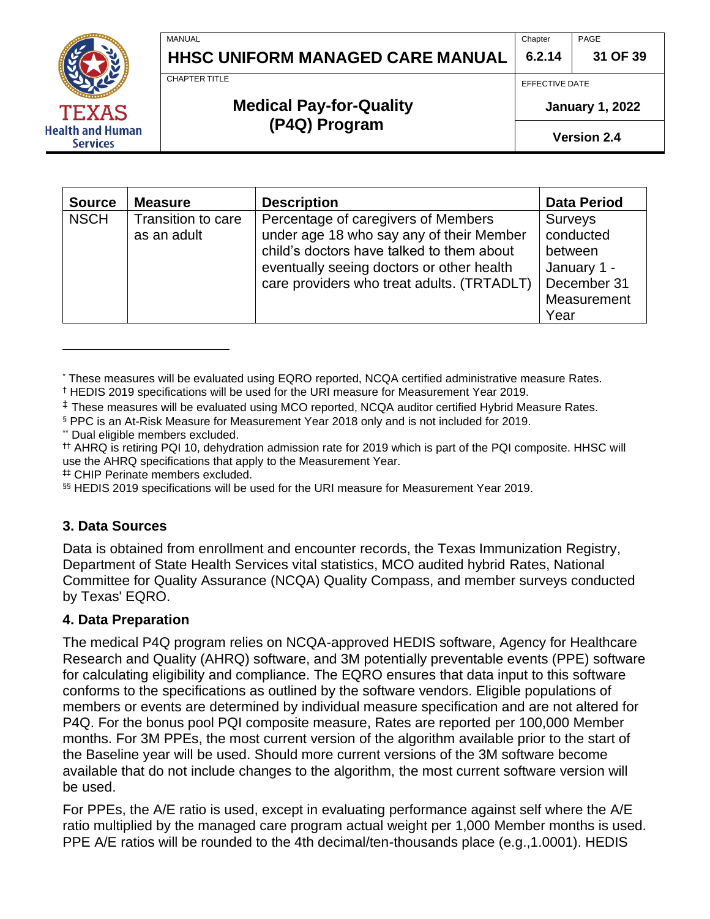**6.2.14 31 OF 39**

CHAPTER TITLE

**MANUAL** 

## **Medical Pay-for-Quality (P4Q) Program**

**HHSC UNIFORM MANAGED CARE MANUAL**

EFFECTIVE DATE

**Chapter** 

**January 1, 2022**

PAGE

**Version 2.4**

| <b>Source</b> | <b>Measure</b>                    | <b>Description</b>                                                                                                                                                                                                      | <b>Data Period</b>                                                                          |
|---------------|-----------------------------------|-------------------------------------------------------------------------------------------------------------------------------------------------------------------------------------------------------------------------|---------------------------------------------------------------------------------------------|
| <b>NSCH</b>   | Transition to care<br>as an adult | Percentage of caregivers of Members<br>under age 18 who say any of their Member<br>child's doctors have talked to them about<br>eventually seeing doctors or other health<br>care providers who treat adults. (TRTADLT) | <b>Surveys</b><br>conducted<br>between<br>January 1 -<br>December 31<br>Measurement<br>Year |

<sup>\*</sup> These measures will be evaluated using EQRO reported, NCQA certified administrative measure Rates.

§ PPC is an At-Risk Measure for Measurement Year 2018 only and is not included for 2019.

\*\* Dual eligible members excluded.

†† AHRQ is retiring PQI 10, dehydration admission rate for 2019 which is part of the PQI composite. HHSC will use the AHRQ specifications that apply to the Measurement Year.

# CHIP Perinate members excluded.

§§ HEDIS 2019 specifications will be used for the URI measure for Measurement Year 2019.

### <span id="page-30-0"></span>**3. Data Sources**

Data is obtained from enrollment and encounter records, the Texas Immunization Registry, Department of State Health Services vital statistics, MCO audited hybrid Rates, National Committee for Quality Assurance (NCQA) Quality Compass, and member surveys conducted by Texas' EQRO.

### <span id="page-30-1"></span>**4. Data Preparation**

The medical P4Q program relies on NCQA-approved HEDIS software, Agency for Healthcare Research and Quality (AHRQ) software, and 3M potentially preventable events (PPE) software for calculating eligibility and compliance. The EQRO ensures that data input to this software conforms to the specifications as outlined by the software vendors. Eligible populations of members or events are determined by individual measure specification and are not altered for P4Q. For the bonus pool PQI composite measure, Rates are reported per 100,000 Member months. For 3M PPEs, the most current version of the algorithm available prior to the start of the Baseline year will be used. Should more current versions of the 3M software become available that do not include changes to the algorithm, the most current software version will be used.

For PPEs, the A/E ratio is used, except in evaluating performance against self where the A/E ratio multiplied by the managed care program actual weight per 1,000 Member months is used. PPE A/E ratios will be rounded to the 4th decimal/ten-thousands place (e.g., 1.0001). HEDIS



<sup>†</sup> HEDIS 2019 specifications will be used for the URI measure for Measurement Year 2019.

<sup>&</sup>lt;sup>‡</sup> These measures will be evaluated using MCO reported, NCQA auditor certified Hybrid Measure Rates.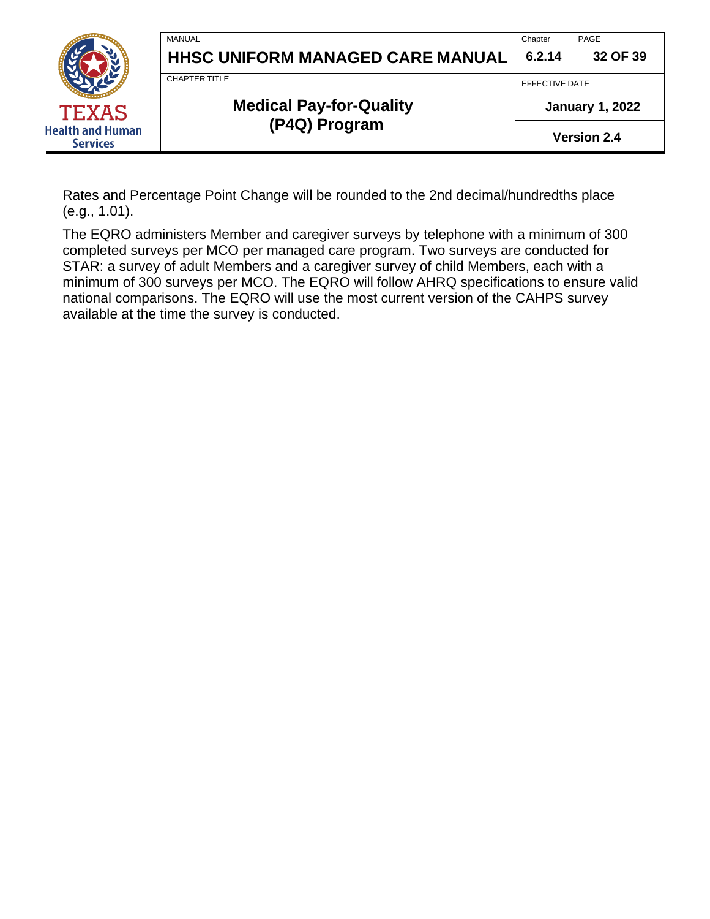

## **Medical Pay-for-Quality (P4Q) Program**

**Health and Human Services** 

**January 1, 2022**

**Version 2.4**

Rates and Percentage Point Change will be rounded to the 2nd decimal/hundredths place (e.g., 1.01).

The EQRO administers Member and caregiver surveys by telephone with a minimum of 300 completed surveys per MCO per managed care program. Two surveys are conducted for STAR: a survey of adult Members and a caregiver survey of child Members, each with a minimum of 300 surveys per MCO. The EQRO will follow AHRQ specifications to ensure valid national comparisons. The EQRO will use the most current version of the CAHPS survey available at the time the survey is conducted.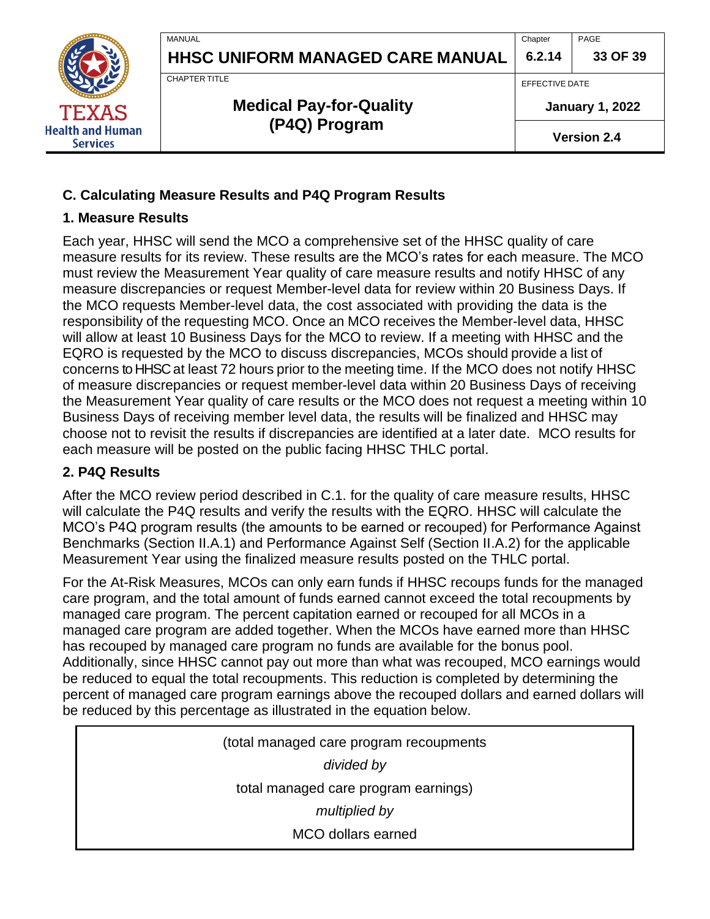

**Chapter 6.2.14** PAGE

**33 OF 39**

CHAPTER TITLE

**MANUAL** 

# **Medical Pay-for-Quality (P4Q) Program**

EFFECTIVE DATE

**January 1, 2022**

**Version 2.4**

## <span id="page-32-0"></span>**C. Calculating Measure Results and P4Q Program Results**

#### <span id="page-32-1"></span>**1. Measure Results**

Each year, HHSC will send the MCO a comprehensive set of the HHSC quality of care measure results for its review. These results are the MCO's rates for each measure. The MCO must review the Measurement Year quality of care measure results and notify HHSC of any measure discrepancies or request Member-level data for review within 20 Business Days. If the MCO requests Member-level data, the cost associated with providing the data is the responsibility of the requesting MCO. Once an MCO receives the Member-level data, HHSC will allow at least 10 Business Days for the MCO to review. If a meeting with HHSC and the EQRO is requested by the MCO to discuss discrepancies, MCOs should provide a list of concerns to HHSC at least 72 hours prior to the meeting time. If the MCO does not notify HHSC of measure discrepancies or request member-level data within 20 Business Days of receiving the Measurement Year quality of care results or the MCO does not request a meeting within 10 Business Days of receiving member level data, the results will be finalized and HHSC may choose not to revisit the results if discrepancies are identified at a later date. MCO results for each measure will be posted on the public facing HHSC THLC portal.

#### <span id="page-32-2"></span>**2. P4Q Results**

After the MCO review period described in C.1. for the quality of care measure results, HHSC will calculate the P4Q results and verify the results with the EQRO. HHSC will calculate the MCO's P4Q program results (the amounts to be earned or recouped) for Performance Against Benchmarks (Section II.A.1) and Performance Against Self (Section II.A.2) for the applicable Measurement Year using the finalized measure results posted on the THLC portal.

For the At-Risk Measures, MCOs can only earn funds if HHSC recoups funds for the managed care program, and the total amount of funds earned cannot exceed the total recoupments by managed care program. The percent capitation earned or recouped for all MCOs in a managed care program are added together. When the MCOs have earned more than HHSC has recouped by managed care program no funds are available for the bonus pool. Additionally, since HHSC cannot pay out more than what was recouped, MCO earnings would be reduced to equal the total recoupments. This reduction is completed by determining the percent of managed care program earnings above the recouped dollars and earned dollars will be reduced by this percentage as illustrated in the equation below.

> (total managed care program recoupments *divided by* total managed care program earnings) *multiplied by* MCO dollars earned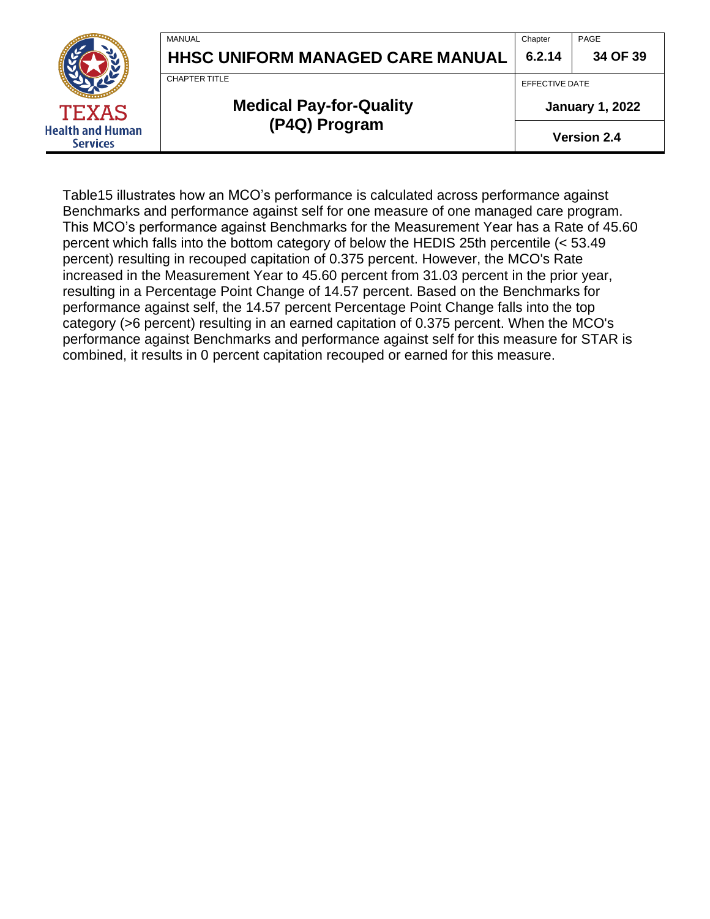|                                            | MANUAL<br><b>HHSC UNIFORM MANAGED CARE MANUAL</b> | Chapter<br>6.2.14                        | PAGE<br>34 OF 39   |
|--------------------------------------------|---------------------------------------------------|------------------------------------------|--------------------|
| <b>TEXAS</b>                               | CHAPTER TITLE<br><b>Medical Pay-for-Quality</b>   | EFFECTIVE DATE<br><b>January 1, 2022</b> |                    |
| <b>Health and Human</b><br><b>Services</b> | (P4Q) Program                                     |                                          | <b>Version 2.4</b> |

Table15 illustrates how an MCO's performance is calculated across performance against Benchmarks and performance against self for one measure of one managed care program. This MCO's performance against Benchmarks for the Measurement Year has a Rate of 45.60 percent which falls into the bottom category of below the HEDIS 25th percentile (< 53.49 percent) resulting in recouped capitation of 0.375 percent. However, the MCO's Rate increased in the Measurement Year to 45.60 percent from 31.03 percent in the prior year, resulting in a Percentage Point Change of 14.57 percent. Based on the Benchmarks for performance against self, the 14.57 percent Percentage Point Change falls into the top category (>6 percent) resulting in an earned capitation of 0.375 percent. When the MCO's performance against Benchmarks and performance against self for this measure for STAR is combined, it results in 0 percent capitation recouped or earned for this measure.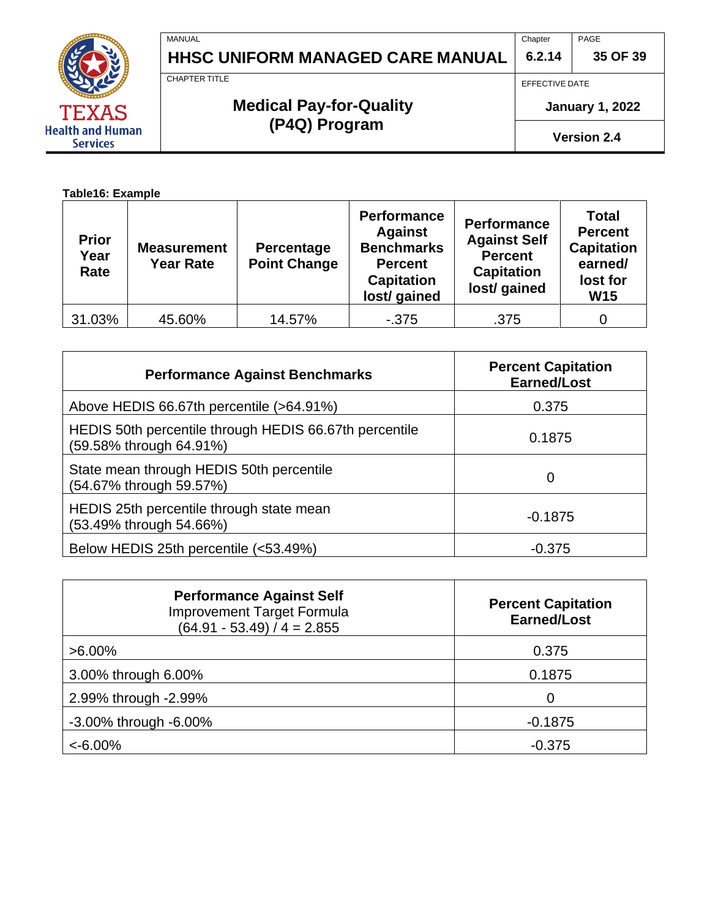

EFFECTIVE DATE

Chapter

**January 1, 2022**

**Version 2.4**

CHAPTER TITLE

# **Medical Pay-for-Quality (P4Q) Program**

**Table16: Example**

TEXAS **Health and Human Services** 

| <b>Prior</b><br>Year<br>Rate | <b>Measurement</b><br><b>Year Rate</b> | Percentage<br><b>Point Change</b> | <b>Performance</b><br><b>Against</b><br><b>Benchmarks</b><br><b>Percent</b><br><b>Capitation</b><br>lost/ gained | <b>Performance</b><br><b>Against Self</b><br><b>Percent</b><br><b>Capitation</b><br>lost/ gained | <b>Total</b><br><b>Percent</b><br><b>Capitation</b><br>earned/<br>lost for<br><b>W15</b> |
|------------------------------|----------------------------------------|-----------------------------------|------------------------------------------------------------------------------------------------------------------|--------------------------------------------------------------------------------------------------|------------------------------------------------------------------------------------------|
| 31.03%                       | 45.60%                                 | 14.57%                            | $-375$                                                                                                           | .375                                                                                             |                                                                                          |

| <b>Performance Against Benchmarks</b>                                             | <b>Percent Capitation</b><br><b>Earned/Lost</b> |
|-----------------------------------------------------------------------------------|-------------------------------------------------|
| Above HEDIS 66.67th percentile (>64.91%)                                          | 0.375                                           |
| HEDIS 50th percentile through HEDIS 66.67th percentile<br>(59.58% through 64.91%) | 0.1875                                          |
| State mean through HEDIS 50th percentile<br>(54.67% through 59.57%)               | 0                                               |
| HEDIS 25th percentile through state mean<br>(53.49% through 54.66%)               | $-0.1875$                                       |
| Below HEDIS 25th percentile (<53.49%)                                             | $-0.375$                                        |

| <b>Performance Against Self</b><br><b>Improvement Target Formula</b><br>$(64.91 - 53.49) / 4 = 2.855$ | <b>Percent Capitation</b><br><b>Earned/Lost</b> |
|-------------------------------------------------------------------------------------------------------|-------------------------------------------------|
| $>6.00\%$                                                                                             | 0.375                                           |
| 3.00% through 6.00%                                                                                   | 0.1875                                          |
| 2.99% through -2.99%                                                                                  | ∩                                               |
| -3.00% through -6.00%                                                                                 | $-0.1875$                                       |
| $< -6.00\%$                                                                                           | $-0.375$                                        |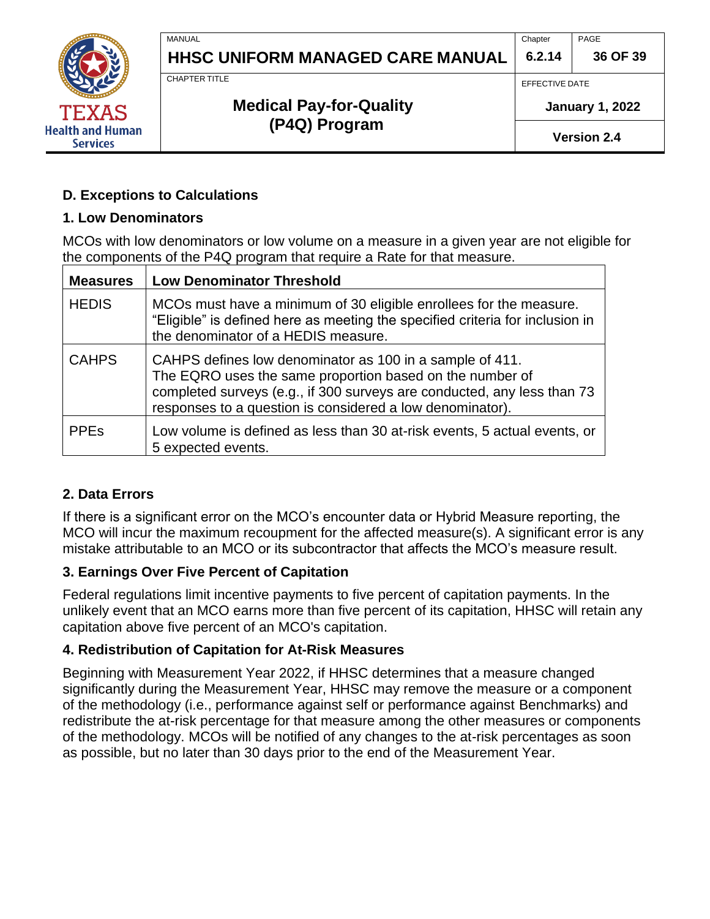

**Chapter 6.2.14** PAGE

**36 OF 39**

CHAPTER TITLE

MANUAL

# **Medical Pay-for-Quality (P4Q) Program**

EFFECTIVE DATE

**January 1, 2022**

**Version 2.4**

### <span id="page-35-0"></span>**D. Exceptions to Calculations**

#### <span id="page-35-1"></span>**1. Low Denominators**

MCOs with low denominators or low volume on a measure in a given year are not eligible for the components of the P4Q program that require a Rate for that measure.

| <b>Measures</b>        | <b>Low Denominator Threshold</b>                                                                                                                                                                                                                             |
|------------------------|--------------------------------------------------------------------------------------------------------------------------------------------------------------------------------------------------------------------------------------------------------------|
| <b>HEDIS</b>           | MCOs must have a minimum of 30 eligible enrollees for the measure.<br>"Eligible" is defined here as meeting the specified criteria for inclusion in<br>the denominator of a HEDIS measure.                                                                   |
| <b>CAHPS</b>           | CAHPS defines low denominator as 100 in a sample of 411.<br>The EQRO uses the same proportion based on the number of<br>completed surveys (e.g., if 300 surveys are conducted, any less than 73<br>responses to a question is considered a low denominator). |
| <b>PPE<sub>s</sub></b> | Low volume is defined as less than 30 at-risk events, 5 actual events, or<br>5 expected events.                                                                                                                                                              |

### <span id="page-35-2"></span>**2. Data Errors**

If there is a significant error on the MCO's encounter data or Hybrid Measure reporting, the MCO will incur the maximum recoupment for the affected measure(s). A significant error is any mistake attributable to an MCO or its subcontractor that affects the MCO's measure result.

### <span id="page-35-3"></span>**3. Earnings Over Five Percent of Capitation**

Federal regulations limit incentive payments to five percent of capitation payments. In the unlikely event that an MCO earns more than five percent of its capitation, HHSC will retain any capitation above five percent of an MCO's capitation.

### <span id="page-35-4"></span>**4. Redistribution of Capitation for At-Risk Measures**

Beginning with Measurement Year 2022, if HHSC determines that a measure changed significantly during the Measurement Year, HHSC may remove the measure or a component of the methodology (i.e., performance against self or performance against Benchmarks) and redistribute the at-risk percentage for that measure among the other measures or components of the methodology. MCOs will be notified of any changes to the at-risk percentages as soon as possible, but no later than 30 days prior to the end of the Measurement Year.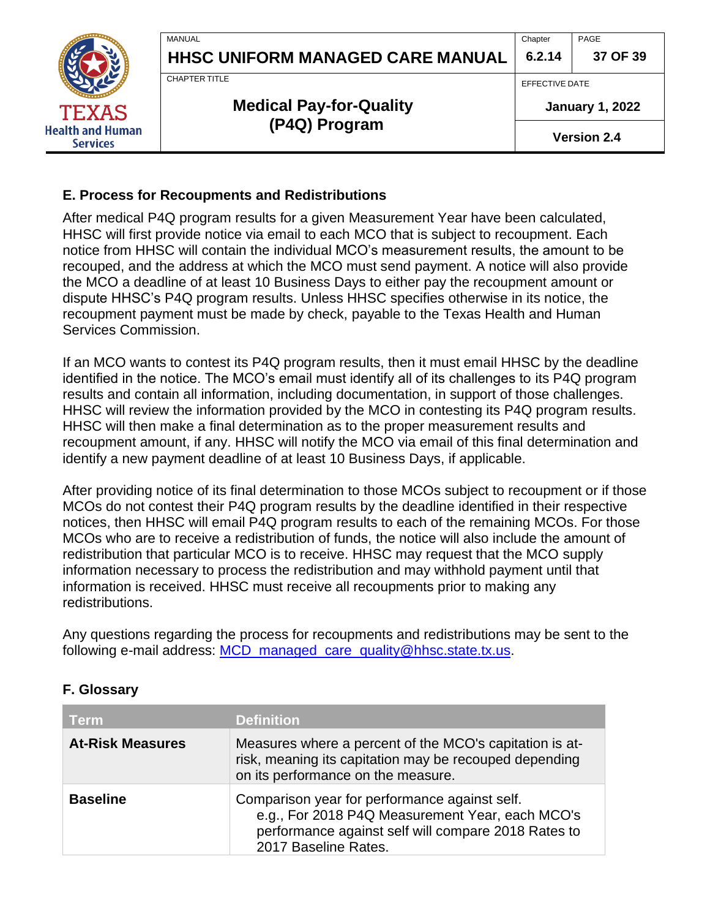

#### <span id="page-36-0"></span>**E. Process for Recoupments and Redistributions**

After medical P4Q program results for a given Measurement Year have been calculated, HHSC will first provide notice via email to each MCO that is subject to recoupment. Each notice from HHSC will contain the individual MCO's measurement results, the amount to be recouped, and the address at which the MCO must send payment. A notice will also provide the MCO a deadline of at least 10 Business Days to either pay the recoupment amount or dispute HHSC's P4Q program results. Unless HHSC specifies otherwise in its notice, the recoupment payment must be made by check, payable to the Texas Health and Human Services Commission.

If an MCO wants to contest its P4Q program results, then it must email HHSC by the deadline identified in the notice. The MCO's email must identify all of its challenges to its P4Q program results and contain all information, including documentation, in support of those challenges. HHSC will review the information provided by the MCO in contesting its P4Q program results. HHSC will then make a final determination as to the proper measurement results and recoupment amount, if any. HHSC will notify the MCO via email of this final determination and identify a new payment deadline of at least 10 Business Days, if applicable.

After providing notice of its final determination to those MCOs subject to recoupment or if those MCOs do not contest their P4Q program results by the deadline identified in their respective notices, then HHSC will email P4Q program results to each of the remaining MCOs. For those MCOs who are to receive a redistribution of funds, the notice will also include the amount of redistribution that particular MCO is to receive. HHSC may request that the MCO supply information necessary to process the redistribution and may withhold payment until that information is received. HHSC must receive all recoupments prior to making any redistributions.

Any questions regarding the process for recoupments and redistributions may be sent to the following e-mail address: [MCD\\_managed\\_care\\_quality@hhsc.state.tx.us.](mailto:MCD_managed_care_quality@hhsc.state.tx.us)

| <b>Term</b>             | <b>Definition</b>                                                                                                                                                               |
|-------------------------|---------------------------------------------------------------------------------------------------------------------------------------------------------------------------------|
| <b>At-Risk Measures</b> | Measures where a percent of the MCO's capitation is at-<br>risk, meaning its capitation may be recouped depending<br>on its performance on the measure.                         |
| <b>Baseline</b>         | Comparison year for performance against self.<br>e.g., For 2018 P4Q Measurement Year, each MCO's<br>performance against self will compare 2018 Rates to<br>2017 Baseline Rates. |

#### <span id="page-36-1"></span>**F. Glossary**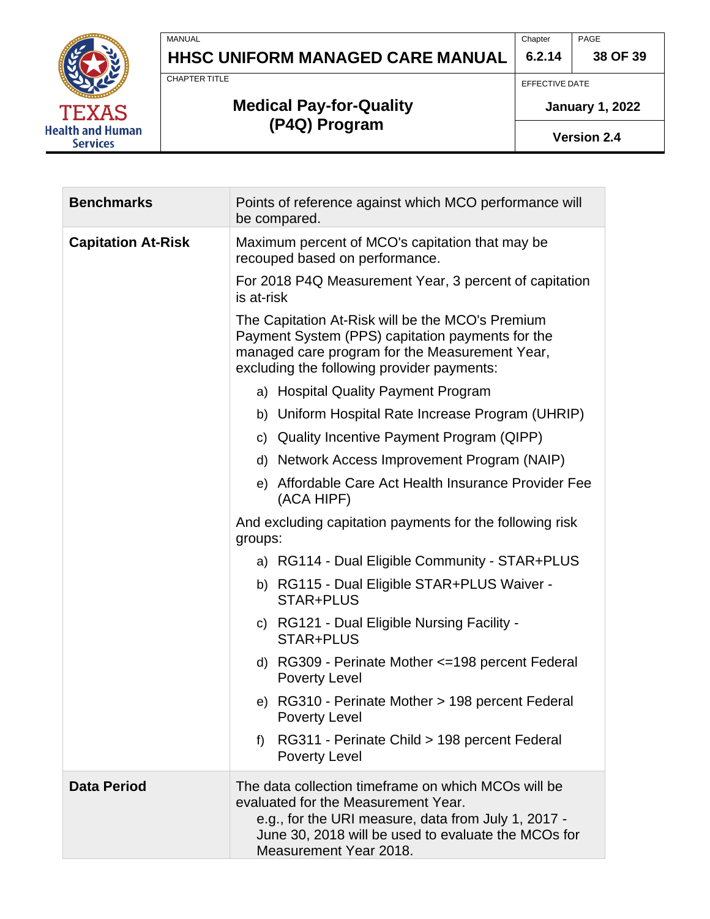

Chapter **6.2.14** PAGE

**38 OF 39**

CHAPTER TITLE

MANUAL

# **Medical Pay-for-Quality (P4Q) Program**

EFFECTIVE DATE

**January 1, 2022**

**Version 2.4**

| <b>Benchmarks</b>         | Points of reference against which MCO performance will<br>be compared.                                                                                                                                                             |  |  |
|---------------------------|------------------------------------------------------------------------------------------------------------------------------------------------------------------------------------------------------------------------------------|--|--|
| <b>Capitation At-Risk</b> | Maximum percent of MCO's capitation that may be<br>recouped based on performance.                                                                                                                                                  |  |  |
|                           | For 2018 P4Q Measurement Year, 3 percent of capitation<br>is at-risk                                                                                                                                                               |  |  |
|                           | The Capitation At-Risk will be the MCO's Premium<br>Payment System (PPS) capitation payments for the<br>managed care program for the Measurement Year,<br>excluding the following provider payments:                               |  |  |
|                           | a) Hospital Quality Payment Program                                                                                                                                                                                                |  |  |
|                           | b) Uniform Hospital Rate Increase Program (UHRIP)                                                                                                                                                                                  |  |  |
|                           | c) Quality Incentive Payment Program (QIPP)                                                                                                                                                                                        |  |  |
|                           | d) Network Access Improvement Program (NAIP)                                                                                                                                                                                       |  |  |
|                           | e) Affordable Care Act Health Insurance Provider Fee<br>(ACA HIPF)                                                                                                                                                                 |  |  |
|                           | And excluding capitation payments for the following risk<br>groups:                                                                                                                                                                |  |  |
|                           | a) RG114 - Dual Eligible Community - STAR+PLUS                                                                                                                                                                                     |  |  |
|                           | b) RG115 - Dual Eligible STAR+PLUS Waiver -<br>STAR+PLUS                                                                                                                                                                           |  |  |
|                           | c) RG121 - Dual Eligible Nursing Facility -<br>STAR+PLUS                                                                                                                                                                           |  |  |
|                           | d) RG309 - Perinate Mother <= 198 percent Federal<br><b>Poverty Level</b>                                                                                                                                                          |  |  |
|                           | e) RG310 - Perinate Mother > 198 percent Federal<br><b>Poverty Level</b>                                                                                                                                                           |  |  |
|                           | RG311 - Perinate Child > 198 percent Federal<br>f<br><b>Poverty Level</b>                                                                                                                                                          |  |  |
| <b>Data Period</b>        | The data collection timeframe on which MCOs will be<br>evaluated for the Measurement Year.<br>e.g., for the URI measure, data from July 1, 2017 -<br>June 30, 2018 will be used to evaluate the MCOs for<br>Measurement Year 2018. |  |  |